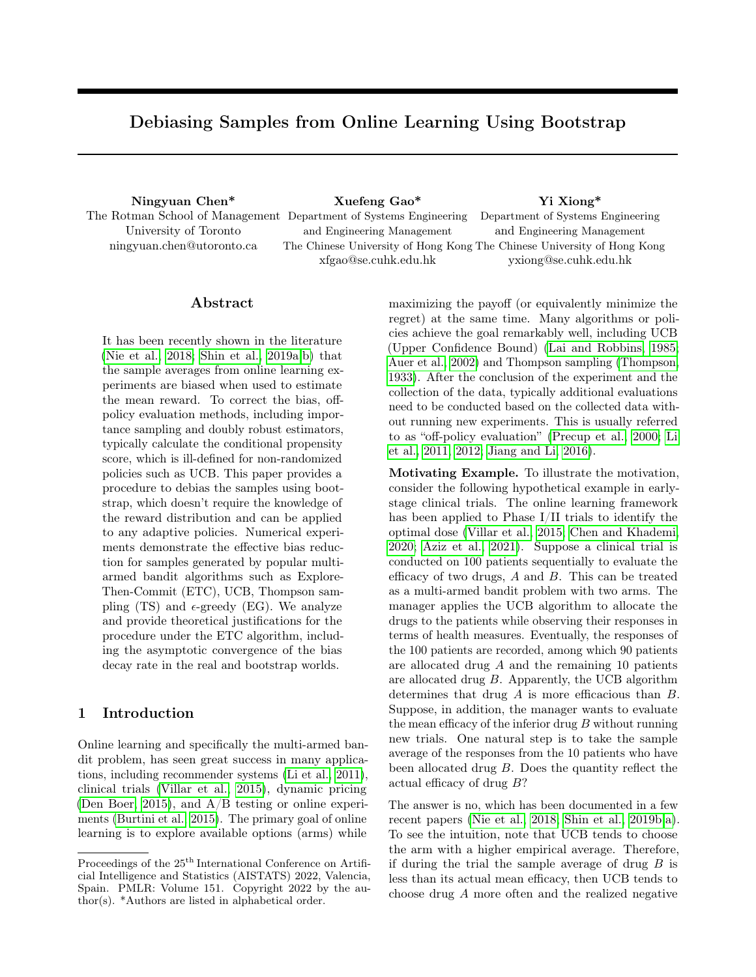# Debiasing Samples from Online Learning Using Bootstrap

University of Toronto ningyuan.chen@utoronto.ca

Ningyuan Chen\* Xuefeng Gao\* Yi Xiong\* The Rotman School of Management Department of Systems Engineering and Engineering Management The Chinese University of Hong Kong The Chinese University of Hong Kong xfgao@se.cuhk.edu.hk Department of Systems Engineering and Engineering Management yxiong@se.cuhk.edu.hk

#### Abstract

It has been recently shown in the literature [\(Nie et al., 2018;](#page-10-0) [Shin et al., 2019a,](#page-10-1)[b\)](#page-10-2) that the sample averages from online learning experiments are biased when used to estimate the mean reward. To correct the bias, offpolicy evaluation methods, including importance sampling and doubly robust estimators, typically calculate the conditional propensity score, which is ill-defined for non-randomized policies such as UCB. This paper provides a procedure to debias the samples using bootstrap, which doesn't require the knowledge of the reward distribution and can be applied to any adaptive policies. Numerical experiments demonstrate the effective bias reduction for samples generated by popular multiarmed bandit algorithms such as Explore-Then-Commit (ETC), UCB, Thompson sampling (TS) and  $\epsilon$ -greedy (EG). We analyze and provide theoretical justifications for the procedure under the ETC algorithm, including the asymptotic convergence of the bias decay rate in the real and bootstrap worlds.

## 1 Introduction

Online learning and specifically the multi-armed bandit problem, has seen great success in many applications, including recommender systems [\(Li et al., 2011\)](#page-9-0), clinical trials [\(Villar et al., 2015\)](#page-10-3), dynamic pricing [\(Den Boer, 2015\)](#page-9-1), and  $A/B$  testing or online experiments [\(Burtini et al., 2015\)](#page-9-2). The primary goal of online learning is to explore available options (arms) while maximizing the payoff (or equivalently minimize the regret) at the same time. Many algorithms or policies achieve the goal remarkably well, including UCB (Upper Confidence Bound) [\(Lai and Robbins, 1985;](#page-9-3) [Auer et al., 2002\)](#page-9-4) and Thompson sampling [\(Thompson,](#page-10-4) [1933\)](#page-10-4). After the conclusion of the experiment and the collection of the data, typically additional evaluations need to be conducted based on the collected data without running new experiments. This is usually referred to as "off-policy evaluation" [\(Precup et al., 2000;](#page-10-5) [Li](#page-9-0) [et al., 2011,](#page-9-0) [2012;](#page-9-5) [Jiang and Li, 2016\)](#page-9-6).

Motivating Example. To illustrate the motivation, consider the following hypothetical example in earlystage clinical trials. The online learning framework has been applied to Phase I/II trials to identify the optimal dose [\(Villar et al., 2015;](#page-10-3) [Chen and Khademi,](#page-9-7) [2020;](#page-9-7) [Aziz et al., 2021\)](#page-9-8). Suppose a clinical trial is conducted on 100 patients sequentially to evaluate the efficacy of two drugs, A and B. This can be treated as a multi-armed bandit problem with two arms. The manager applies the UCB algorithm to allocate the drugs to the patients while observing their responses in terms of health measures. Eventually, the responses of the 100 patients are recorded, among which 90 patients are allocated drug A and the remaining 10 patients are allocated drug B. Apparently, the UCB algorithm determines that drug A is more efficacious than B. Suppose, in addition, the manager wants to evaluate the mean efficacy of the inferior drug  $B$  without running new trials. One natural step is to take the sample average of the responses from the 10 patients who have been allocated drug B. Does the quantity reflect the actual efficacy of drug B?

The answer is no, which has been documented in a few recent papers [\(Nie et al., 2018;](#page-10-0) [Shin et al., 2019b,](#page-10-2)[a\)](#page-10-1). To see the intuition, note that UCB tends to choose the arm with a higher empirical average. Therefore, if during the trial the sample average of drug  $B$  is less than its actual mean efficacy, then UCB tends to choose drug A more often and the realized negative

Proceedings of the  $25^{\mathrm{th}}$  International Conference on Artificial Intelligence and Statistics (AISTATS) 2022, Valencia, Spain. PMLR: Volume 151. Copyright 2022 by the author(s). \*Authors are listed in alphabetical order.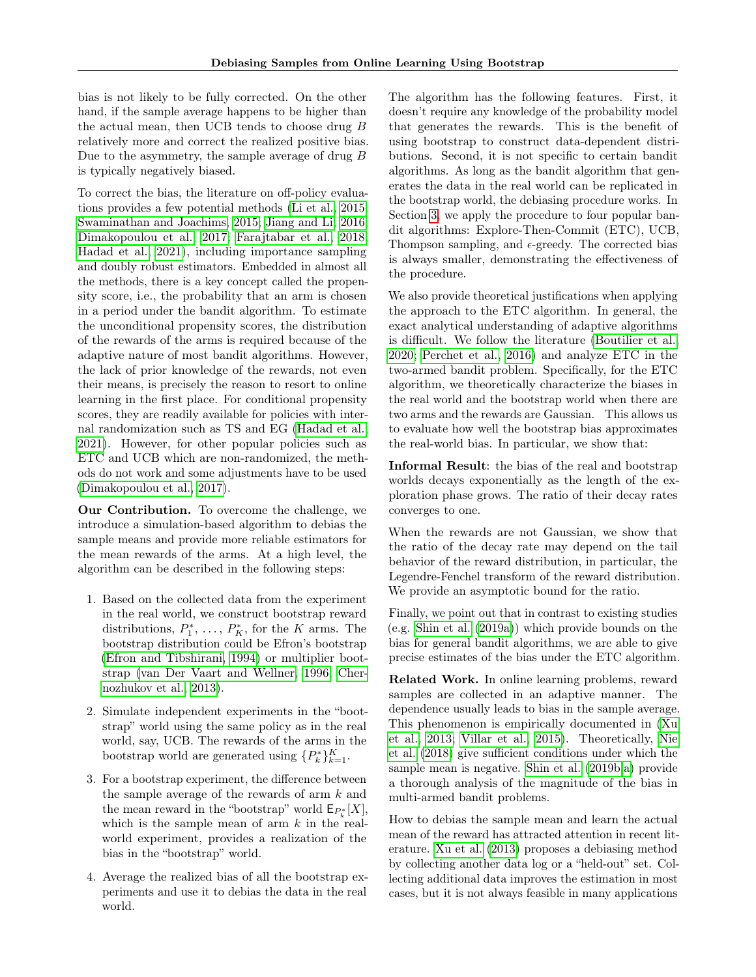bias is not likely to be fully corrected. On the other hand, if the sample average happens to be higher than the actual mean, then UCB tends to choose drug B relatively more and correct the realized positive bias. Due to the asymmetry, the sample average of drug B is typically negatively biased.

To correct the bias, the literature on off-policy evaluations provides a few potential methods [\(Li et al., 2015;](#page-10-6) [Swaminathan and Joachims, 2015;](#page-10-7) [Jiang and Li, 2016;](#page-9-6) [Dimakopoulou et al., 2017;](#page-9-9) [Farajtabar et al., 2018;](#page-9-10) [Hadad et al., 2021\)](#page-9-11), including importance sampling and doubly robust estimators. Embedded in almost all the methods, there is a key concept called the propensity score, i.e., the probability that an arm is chosen in a period under the bandit algorithm. To estimate the unconditional propensity scores, the distribution of the rewards of the arms is required because of the adaptive nature of most bandit algorithms. However, the lack of prior knowledge of the rewards, not even their means, is precisely the reason to resort to online learning in the first place. For conditional propensity scores, they are readily available for policies with internal randomization such as TS and EG [\(Hadad et al.,](#page-9-11) [2021\)](#page-9-11). However, for other popular policies such as ETC and UCB which are non-randomized, the methods do not work and some adjustments have to be used [\(Dimakopoulou et al., 2017\)](#page-9-9).

Our Contribution. To overcome the challenge, we introduce a simulation-based algorithm to debias the sample means and provide more reliable estimators for the mean rewards of the arms. At a high level, the algorithm can be described in the following steps:

- 1. Based on the collected data from the experiment in the real world, we construct bootstrap reward distributions,  $P_1^*, \ldots, P_K^*$ , for the K arms. The bootstrap distribution could be Efron's bootstrap [\(Efron and Tibshirani, 1994\)](#page-9-12) or multiplier bootstrap [\(van Der Vaart and Wellner, 1996;](#page-10-8) [Cher](#page-9-13)[nozhukov et al., 2013\)](#page-9-13).
- 2. Simulate independent experiments in the "bootstrap" world using the same policy as in the real world, say, UCB. The rewards of the arms in the bootstrap world are generated using  ${P_k^*}_{k=1}^K$ .
- 3. For a bootstrap experiment, the difference between the sample average of the rewards of arm k and the mean reward in the "bootstrap" world  $\mathsf{E}_{P_k^*}[X]$ , which is the sample mean of arm  $k$  in the realworld experiment, provides a realization of the bias in the "bootstrap" world.
- 4. Average the realized bias of all the bootstrap experiments and use it to debias the data in the real world.

The algorithm has the following features. First, it doesn't require any knowledge of the probability model that generates the rewards. This is the benefit of using bootstrap to construct data-dependent distributions. Second, it is not specific to certain bandit algorithms. As long as the bandit algorithm that generates the data in the real world can be replicated in the bootstrap world, the debiasing procedure works. In Section [3,](#page-3-0) we apply the procedure to four popular bandit algorithms: Explore-Then-Commit (ETC), UCB, Thompson sampling, and  $\epsilon$ -greedy. The corrected bias is always smaller, demonstrating the effectiveness of the procedure.

We also provide theoretical justifications when applying the approach to the ETC algorithm. In general, the exact analytical understanding of adaptive algorithms is difficult. We follow the literature [\(Boutilier et al.,](#page-9-14) [2020;](#page-9-14) [Perchet et al., 2016\)](#page-10-9) and analyze ETC in the two-armed bandit problem. Specifically, for the ETC algorithm, we theoretically characterize the biases in the real world and the bootstrap world when there are two arms and the rewards are Gaussian. This allows us to evaluate how well the bootstrap bias approximates the real-world bias. In particular, we show that:

Informal Result: the bias of the real and bootstrap worlds decays exponentially as the length of the exploration phase grows. The ratio of their decay rates converges to one.

When the rewards are not Gaussian, we show that the ratio of the decay rate may depend on the tail behavior of the reward distribution, in particular, the Legendre-Fenchel transform of the reward distribution. We provide an asymptotic bound for the ratio.

Finally, we point out that in contrast to existing studies (e.g. [Shin et al.](#page-10-1) [\(2019a\)](#page-10-1)) which provide bounds on the bias for general bandit algorithms, we are able to give precise estimates of the bias under the ETC algorithm.

Related Work. In online learning problems, reward samples are collected in an adaptive manner. The dependence usually leads to bias in the sample average. This phenomenon is empirically documented in [\(Xu](#page-10-10) [et al., 2013;](#page-10-10) [Villar et al., 2015\)](#page-10-3). Theoretically, [Nie](#page-10-0) [et al.](#page-10-0) [\(2018\)](#page-10-0) give sufficient conditions under which the sample mean is negative. [Shin et al.](#page-10-2) [\(2019b,](#page-10-2)[a\)](#page-10-1) provide a thorough analysis of the magnitude of the bias in multi-armed bandit problems.

How to debias the sample mean and learn the actual mean of the reward has attracted attention in recent literature. [Xu et al.](#page-10-10) [\(2013\)](#page-10-10) proposes a debiasing method by collecting another data log or a "held-out" set. Collecting additional data improves the estimation in most cases, but it is not always feasible in many applications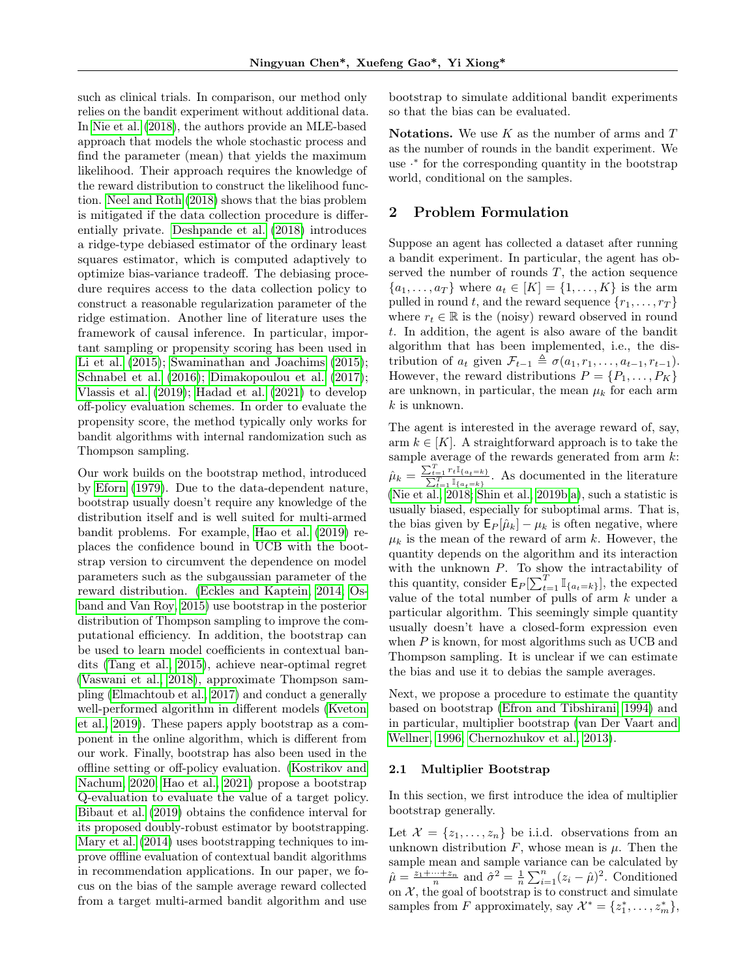such as clinical trials. In comparison, our method only relies on the bandit experiment without additional data. In [Nie et al.](#page-10-0) [\(2018\)](#page-10-0), the authors provide an MLE-based approach that models the whole stochastic process and find the parameter (mean) that yields the maximum likelihood. Their approach requires the knowledge of the reward distribution to construct the likelihood function. [Neel and Roth](#page-10-11) [\(2018\)](#page-10-11) shows that the bias problem is mitigated if the data collection procedure is differentially private. [Deshpande et al.](#page-9-15) [\(2018\)](#page-9-15) introduces a ridge-type debiased estimator of the ordinary least squares estimator, which is computed adaptively to optimize bias-variance tradeoff. The debiasing procedure requires access to the data collection policy to construct a reasonable regularization parameter of the ridge estimation. Another line of literature uses the framework of causal inference. In particular, important sampling or propensity scoring has been used in [Li et al.](#page-10-6) [\(2015\)](#page-10-7); [Swaminathan and Joachims](#page-10-7) (2015); [Schnabel et al.](#page-10-12) [\(2016\)](#page-10-12); [Dimakopoulou et al.](#page-9-9) [\(2017\)](#page-9-9); [Vlassis et al.](#page-10-13) [\(2019\)](#page-10-13); [Hadad et al.](#page-9-11) [\(2021\)](#page-9-11) to develop off-policy evaluation schemes. In order to evaluate the propensity score, the method typically only works for bandit algorithms with internal randomization such as Thompson sampling.

Our work builds on the bootstrap method, introduced by [Eforn](#page-9-16) [\(1979\)](#page-9-16). Due to the data-dependent nature, bootstrap usually doesn't require any knowledge of the distribution itself and is well suited for multi-armed bandit problems. For example, [Hao et al.](#page-9-17) [\(2019\)](#page-9-17) replaces the confidence bound in UCB with the bootstrap version to circumvent the dependence on model parameters such as the subgaussian parameter of the reward distribution. [\(Eckles and Kaptein, 2014;](#page-9-18) [Os](#page-10-14)[band and Van Roy, 2015\)](#page-10-14) use bootstrap in the posterior distribution of Thompson sampling to improve the computational efficiency. In addition, the bootstrap can be used to learn model coefficients in contextual bandits [\(Tang et al., 2015\)](#page-10-15), achieve near-optimal regret [\(Vaswani et al., 2018\)](#page-10-16), approximate Thompson sampling [\(Elmachtoub et al., 2017\)](#page-9-19) and conduct a generally well-performed algorithm in different models [\(Kveton](#page-9-20) [et al., 2019\)](#page-9-20). These papers apply bootstrap as a component in the online algorithm, which is different from our work. Finally, bootstrap has also been used in the offline setting or off-policy evaluation. [\(Kostrikov and](#page-9-21) [Nachum, 2020;](#page-9-21) [Hao et al., 2021\)](#page-9-22) propose a bootstrap Q-evaluation to evaluate the value of a target policy. [Bibaut et al.](#page-9-23) [\(2019\)](#page-9-23) obtains the confidence interval for its proposed doubly-robust estimator by bootstrapping. [Mary et al.](#page-10-17) [\(2014\)](#page-10-17) uses bootstrapping techniques to improve offline evaluation of contextual bandit algorithms in recommendation applications. In our paper, we focus on the bias of the sample average reward collected from a target multi-armed bandit algorithm and use bootstrap to simulate additional bandit experiments so that the bias can be evaluated.

Notations. We use  $K$  as the number of arms and  $T$ as the number of rounds in the bandit experiment. We use · ∗ for the corresponding quantity in the bootstrap world, conditional on the samples.

## 2 Problem Formulation

Suppose an agent has collected a dataset after running a bandit experiment. In particular, the agent has observed the number of rounds  $T$ , the action sequence  ${a_1, ..., a_T}$  where  $a_t \in [K] = {1, ..., K}$  is the arm pulled in round t, and the reward sequence  $\{r_1, \ldots, r_T\}$ where  $r_t \in \mathbb{R}$  is the (noisy) reward observed in round t. In addition, the agent is also aware of the bandit algorithm that has been implemented, i.e., the distribution of  $a_t$  given  $\mathcal{F}_{t-1} \triangleq \sigma(a_1, r_1, \ldots, a_{t-1}, r_{t-1}).$ However, the reward distributions  $P = \{P_1, \ldots, P_K\}$ are unknown, in particular, the mean  $\mu_k$  for each arm  $k$  is unknown.

The agent is interested in the average reward of, say, arm  $k \in [K]$ . A straightforward approach is to take the sample average of the rewards generated from arm k:  $\hat{\mu}_k = \frac{\sum_{t=1}^T r_t \mathbb{I}_{\{a_t=k\}}}{\sum_{t=1}^T \mathbb{I}_{\{a_t=k\}}}.$  As documented in the literature [\(Nie et al., 2018;](#page-10-0) [Shin et al., 2019b,](#page-10-2)[a\)](#page-10-1), such a statistic is usually biased, especially for suboptimal arms. That is, the bias given by  $\mathsf{E}_P[\hat{\mu}_k] - \mu_k$  is often negative, where  $\mu_k$  is the mean of the reward of arm k. However, the quantity depends on the algorithm and its interaction with the unknown  $P$ . To show the intractability of this quantity, consider  $\mathsf{E}_P[\sum_{t=1}^T \mathbb{I}_{\{a_t=k\}}]$ , the expected value of the total number of pulls of arm k under a particular algorithm. This seemingly simple quantity usually doesn't have a closed-form expression even when  $P$  is known, for most algorithms such as UCB and Thompson sampling. It is unclear if we can estimate the bias and use it to debias the sample averages.

Next, we propose a procedure to estimate the quantity based on bootstrap [\(Efron and Tibshirani, 1994\)](#page-9-12) and in particular, multiplier bootstrap [\(van Der Vaart and](#page-10-8) [Wellner, 1996;](#page-10-8) [Chernozhukov et al., 2013\)](#page-9-13).

#### 2.1 Multiplier Bootstrap

In this section, we first introduce the idea of multiplier bootstrap generally.

Let  $\mathcal{X} = \{z_1, \ldots, z_n\}$  be i.i.d. observations from an unknown distribution  $F$ , whose mean is  $\mu$ . Then the sample mean and sample variance can be calculated by  $\hat{\mu} = \frac{z_1 + \dots + z_n}{n}$  and  $\hat{\sigma}^2 = \frac{1}{n} \sum_{i=1}^n (z_i - \hat{\mu})^2$ . Conditioned on  $X$ , the goal of bootstrap is to construct and simulate samples from F approximately, say  $\mathcal{X}^* = \{z_1^*, \ldots, z_m^*\},$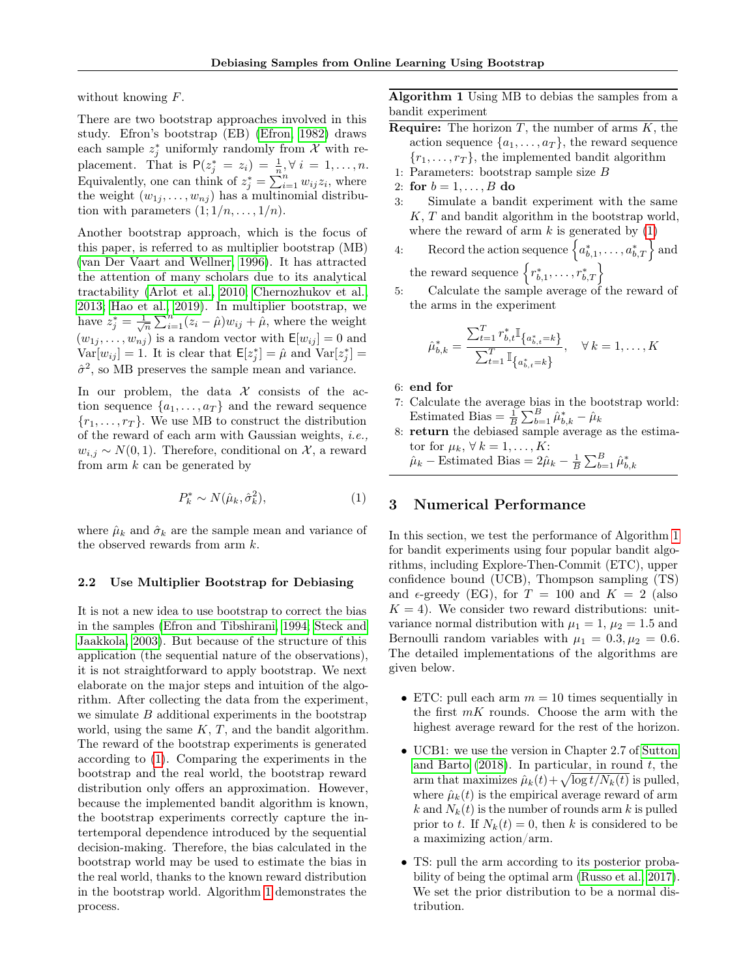without knowing  $F$ .

There are two bootstrap approaches involved in this study. Efron's bootstrap (EB) [\(Efron, 1982\)](#page-9-24) draws each sample  $z_j^*$  uniformly randomly from  $\mathcal X$  with replacement. That is  $P(z_j^* = z_i) = \frac{1}{n}, \forall i = 1, ..., n$ . Equivalently, one can think of  $z_j^* = \sum_{i=1}^n w_{ij} z_i$ , where the weight  $(w_{1j}, \ldots, w_{nj})$  has a multinomial distribution with parameters  $(1; 1/n, \ldots, 1/n)$ .

Another bootstrap approach, which is the focus of this paper, is referred to as multiplier bootstrap (MB) [\(van Der Vaart and Wellner, 1996\)](#page-10-8). It has attracted the attention of many scholars due to its analytical tractability [\(Arlot et al., 2010;](#page-9-25) [Chernozhukov et al.,](#page-9-13) [2013;](#page-9-13) [Hao et al., 2019\)](#page-9-17). In multiplier bootstrap, we have  $z_j^* = \frac{1}{\sqrt{n}} \sum_{i=1}^n (z_i - \hat{\mu}) w_{ij} + \hat{\mu}$ , where the weight  $(w_{1j}, \ldots, w_{nj})$  is a random vector with  $\mathsf{E}[w_{ij}] = 0$  and  $Var[w_{ij}] = 1$ . It is clear that  $E[z_j^*] = \hat{\mu}$  and  $Var[z_j^*] =$  $\hat{\sigma}^2$ , so MB preserves the sample mean and variance.

In our problem, the data  $\mathcal X$  consists of the action sequence  $\{a_1, \ldots, a_T\}$  and the reward sequence  $\{r_1, \ldots, r_T\}$ . We use MB to construct the distribution of the reward of each arm with Gaussian weights, i.e.,  $w_{i,j} \sim N(0, 1)$ . Therefore, conditional on X, a reward from arm k can be generated by

$$
P_k^* \sim N(\hat{\mu}_k, \hat{\sigma}_k^2),\tag{1}
$$

where  $\hat{\mu}_k$  and  $\hat{\sigma}_k$  are the sample mean and variance of the observed rewards from arm  $k$ .

#### 2.2 Use Multiplier Bootstrap for Debiasing

It is not a new idea to use bootstrap to correct the bias in the samples [\(Efron and Tibshirani, 1994;](#page-9-12) [Steck and](#page-10-18) [Jaakkola, 2003\)](#page-10-18). But because of the structure of this application (the sequential nature of the observations), it is not straightforward to apply bootstrap. We next elaborate on the major steps and intuition of the algorithm. After collecting the data from the experiment, we simulate  $B$  additional experiments in the bootstrap world, using the same  $K, T$ , and the bandit algorithm. The reward of the bootstrap experiments is generated according to [\(1\)](#page-3-1). Comparing the experiments in the bootstrap and the real world, the bootstrap reward distribution only offers an approximation. However, because the implemented bandit algorithm is known, the bootstrap experiments correctly capture the intertemporal dependence introduced by the sequential decision-making. Therefore, the bias calculated in the bootstrap world may be used to estimate the bias in the real world, thanks to the known reward distribution in the bootstrap world. Algorithm [1](#page-3-2) demonstrates the process.

Algorithm 1 Using MB to debias the samples from a bandit experiment

- <span id="page-3-2"></span>**Require:** The horizon  $T$ , the number of arms  $K$ , the action sequence  $\{a_1, \ldots, a_T\}$ , the reward sequence  ${r_1, \ldots, r_T}$ , the implemented bandit algorithm
- 1: Parameters: bootstrap sample size B
- 2: for  $b = 1, \ldots, B$  do
- 3: Simulate a bandit experiment with the same  $K, T$  and bandit algorithm in the bootstrap world, where the reward of arm  $k$  is generated by  $(1)$
- 4: Record the action sequence  $\left\{a_{b,1}^*,\ldots,a_{b,T}^*\right\}$  and the reward sequence  $\{r_{b,1}^*, \ldots, r_{b,T}^*\}$

5: Calculate the sample average of the reward of the arms in the experiment

$$
\hat{u}_{b,k}^* = \frac{\sum_{t=1}^T r_{b,t}^* \mathbb{I}_{\{a_{b,t}^* = k\}}}{\sum_{t=1}^T \mathbb{I}_{\{a_{b,t}^* = k\}}}, \quad \forall \, k = 1, \dots, K
$$

6: end for

 $\overline{I}$ 

- 7: Calculate the average bias in the bootstrap world: Estimated Bias =  $\frac{1}{B} \sum_{b=1}^{B} \hat{\mu}_{b,k}^* - \hat{\mu}_k$
- 8: return the debiased sample average as the estimator for  $\mu_k$ ,  $\forall k = 1, \ldots, K$ :

 $\hat{\mu}_k$  – Estimated Bias =  $2\hat{\mu}_k - \frac{1}{B} \sum_{b=1}^B \hat{\mu}_{b,k}^*$ 

# <span id="page-3-1"></span><span id="page-3-0"></span>3 Numerical Performance

In this section, we test the performance of Algorithm [1](#page-3-2) for bandit experiments using four popular bandit algorithms, including Explore-Then-Commit (ETC), upper confidence bound (UCB), Thompson sampling (TS) and  $\epsilon$ -greedy (EG), for  $T = 100$  and  $K = 2$  (also  $K = 4$ ). We consider two reward distributions: unitvariance normal distribution with  $\mu_1 = 1$ ,  $\mu_2 = 1.5$  and Bernoulli random variables with  $\mu_1 = 0.3, \mu_2 = 0.6$ . The detailed implementations of the algorithms are given below.

- ETC: pull each arm  $m = 10$  times sequentially in the first  $mK$  rounds. Choose the arm with the highest average reward for the rest of the horizon.
- UCB1: we use the version in Chapter 2.7 of [Sutton](#page-10-19) [and Barto](#page-10-19)  $(2018)$ . In particular, in round t, the arm that maximizes  $\hat{\mu}_k(t) + \sqrt{\log t/N_k(t)}$  is pulled, where  $\hat{\mu}_k(t)$  is the empirical average reward of arm k and  $N_k(t)$  is the number of rounds arm k is pulled prior to t. If  $N_k(t) = 0$ , then k is considered to be a maximizing action/arm.
- TS: pull the arm according to its posterior probability of being the optimal arm [\(Russo et al., 2017\)](#page-10-20). We set the prior distribution to be a normal distribution.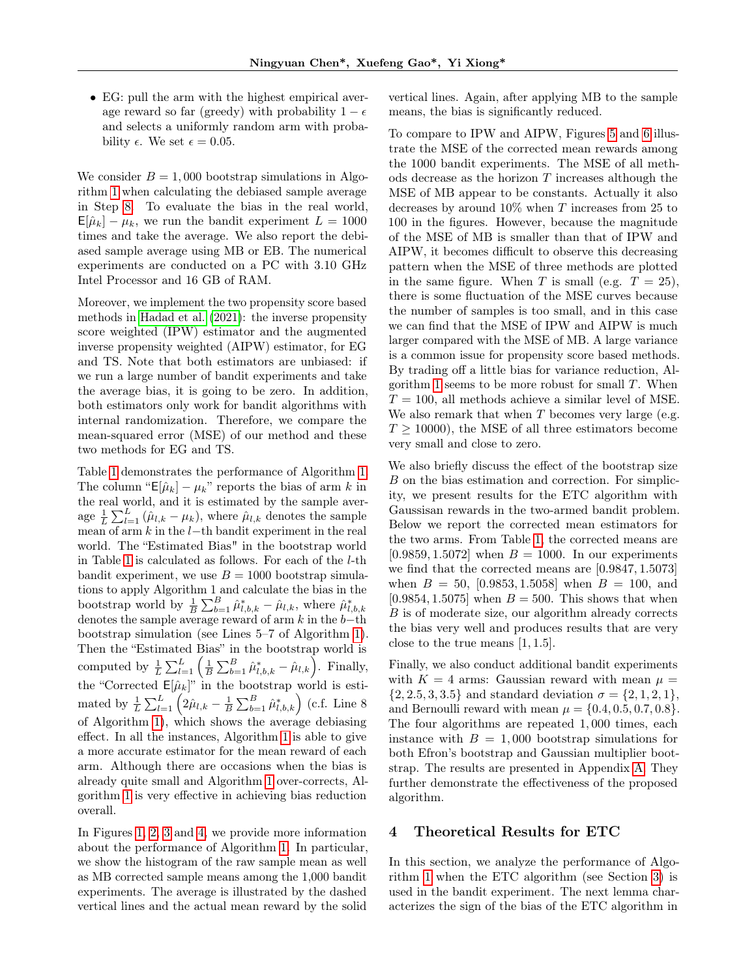• EG: pull the arm with the highest empirical average reward so far (greedy) with probability  $1 - \epsilon$ and selects a uniformly random arm with probability  $\epsilon$ . We set  $\epsilon = 0.05$ .

We consider  $B = 1,000$  bootstrap simulations in Algorithm [1](#page-3-2) when calculating the debiased sample average in Step [8.](#page-3-2) To evaluate the bias in the real world,  $E[\hat{\mu}_k] - \mu_k$ , we run the bandit experiment  $L = 1000$ times and take the average. We also report the debiased sample average using MB or EB. The numerical experiments are conducted on a PC with 3.10 GHz Intel Processor and 16 GB of RAM.

Moreover, we implement the two propensity score based methods in [Hadad et al.](#page-9-11) [\(2021\)](#page-9-11): the inverse propensity score weighted (IPW) estimator and the augmented inverse propensity weighted (AIPW) estimator, for EG and TS. Note that both estimators are unbiased: if we run a large number of bandit experiments and take the average bias, it is going to be zero. In addition, both estimators only work for bandit algorithms with internal randomization. Therefore, we compare the mean-squared error (MSE) of our method and these two methods for EG and TS.

Table [1](#page-5-0) demonstrates the performance of Algorithm [1.](#page-3-2) The column "E[ $\hat{\mu}_k$ ] –  $\mu_k$ " reports the bias of arm k in the real world, and it is estimated by the sample average  $\frac{1}{L} \sum_{l=1}^{L} (\hat{\mu}_{l,k} - \mu_k)$ , where  $\hat{\mu}_{l,k}$  denotes the sample mean of arm  $k$  in the  $l$ −th bandit experiment in the real world. The "Estimated Bias" in the bootstrap world in Table [1](#page-5-0) is calculated as follows. For each of the l-th bandit experiment, we use  $B = 1000$  bootstrap simulations to apply Algorithm 1 and calculate the bias in the bootstrap world by  $\frac{1}{B} \sum_{b=1}^{B} \hat{\mu}_{l,b,k}^{*} - \hat{\mu}_{l,k}$ , where  $\hat{\mu}_{l,b,k}^{*}$ denotes the sample average reward of arm  $k$  in the  $b$ −th bootstrap simulation (see Lines 5–7 of Algorithm [1\)](#page-3-2). Then the "Estimated Bias" in the bootstrap world is computed by  $\frac{1}{L} \sum_{l=1}^{L} \left( \frac{1}{B} \sum_{b=1}^{B} \hat{\mu}_{l,b,k}^* - \hat{\mu}_{l,k} \right)$ . Finally, the "Corrected  $E[\hat{\mu}_k]$ " in the bootstrap world is estimated by  $\frac{1}{L} \sum_{l=1}^{L} \left( 2\hat{\mu}_{l,k} - \frac{1}{B} \sum_{b=1}^{B} \hat{\mu}_{l,b,k}^{*} \right)$  (c.f. Line 8 of Algorithm [1\)](#page-3-2), which shows the average debiasing effect. In all the instances, Algorithm [1](#page-3-2) is able to give a more accurate estimator for the mean reward of each arm. Although there are occasions when the bias is already quite small and Algorithm [1](#page-3-2) over-corrects, Algorithm [1](#page-3-2) is very effective in achieving bias reduction overall.

In Figures [1,](#page-5-1) [2,](#page-5-2) [3](#page-5-3) and [4,](#page-5-4) we provide more information about the performance of Algorithm [1.](#page-3-2) In particular, we show the histogram of the raw sample mean as well as MB corrected sample means among the 1,000 bandit experiments. The average is illustrated by the dashed vertical lines and the actual mean reward by the solid vertical lines. Again, after applying MB to the sample means, the bias is significantly reduced.

To compare to IPW and AIPW, Figures [5](#page-6-0) and [6](#page-6-1) illustrate the MSE of the corrected mean rewards among the 1000 bandit experiments. The MSE of all methods decrease as the horizon T increases although the MSE of MB appear to be constants. Actually it also decreases by around  $10\%$  when T increases from 25 to 100 in the figures. However, because the magnitude of the MSE of MB is smaller than that of IPW and AIPW, it becomes difficult to observe this decreasing pattern when the MSE of three methods are plotted in the same figure. When T is small (e.g.  $T = 25$ ), there is some fluctuation of the MSE curves because the number of samples is too small, and in this case we can find that the MSE of IPW and AIPW is much larger compared with the MSE of MB. A large variance is a common issue for propensity score based methods. By trading off a little bias for variance reduction, Al-gorithm [1](#page-3-2) seems to be more robust for small  $T$ . When  $T = 100$ , all methods achieve a similar level of MSE. We also remark that when  $T$  becomes very large (e.g.  $T > 10000$ , the MSE of all three estimators become very small and close to zero.

We also briefly discuss the effect of the bootstrap size B on the bias estimation and correction. For simplicity, we present results for the ETC algorithm with Gaussisan rewards in the two-armed bandit problem. Below we report the corrected mean estimators for the two arms. From Table [1,](#page-5-0) the corrected means are [0.9859, 1.5072] when  $B = 1000$ . In our experiments we find that the corrected means are [0.9847, 1.5073] when  $B = 50$ , [0.9853, 1.5058] when  $B = 100$ , and [0.9854, 1.5075] when  $B = 500$ . This shows that when B is of moderate size, our algorithm already corrects the bias very well and produces results that are very close to the true means [1, 1.5].

Finally, we also conduct additional bandit experiments with  $K = 4$  arms: Gaussian reward with mean  $\mu =$  $\{2, 2.5, 3, 3.5\}$  and standard deviation  $\sigma = \{2, 1, 2, 1\},\$ and Bernoulli reward with mean  $\mu = \{0.4, 0.5, 0.7, 0.8\}.$ The four algorithms are repeated 1, 000 times, each instance with  $B = 1,000$  bootstrap simulations for both Efron's bootstrap and Gaussian multiplier bootstrap. The results are presented in Appendix [A.](#page-11-0) They further demonstrate the effectiveness of the proposed algorithm.

### 4 Theoretical Results for ETC

In this section, we analyze the performance of Algorithm [1](#page-3-2) when the ETC algorithm (see Section [3\)](#page-3-0) is used in the bandit experiment. The next lemma characterizes the sign of the bias of the ETC algorithm in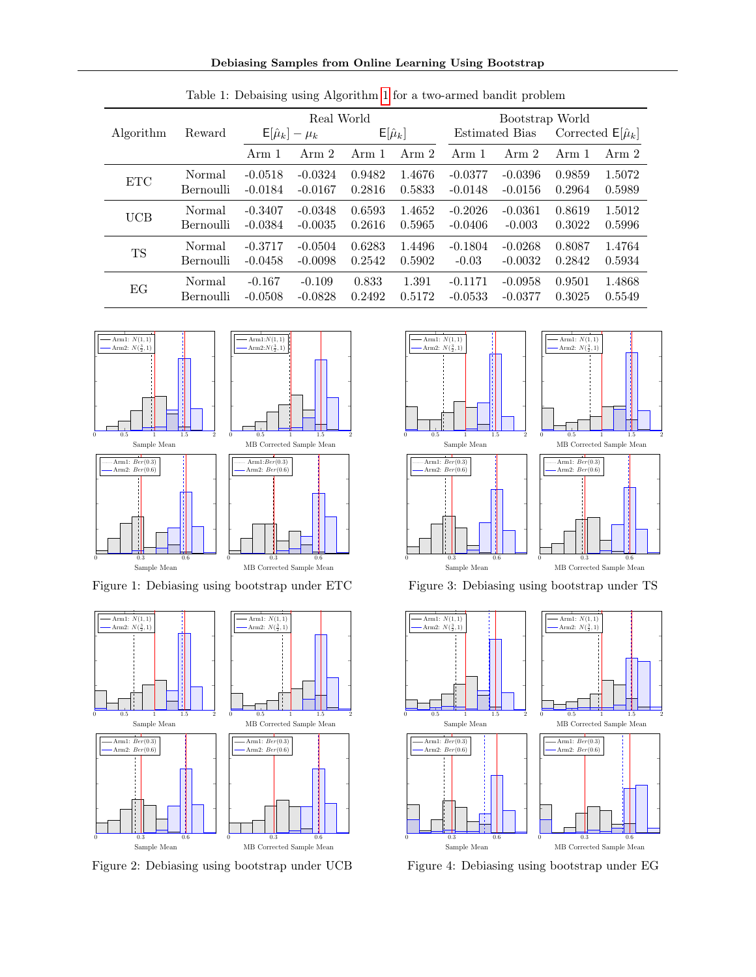Debiasing Samples from Online Learning Using Bootstrap

<span id="page-5-0"></span>

|            | Reward    | Real World               |           |                  |        | Bootstrap World       |           |                            |        |
|------------|-----------|--------------------------|-----------|------------------|--------|-----------------------|-----------|----------------------------|--------|
| Algorithm  |           | $E[\hat{\mu}_k] - \mu_k$ |           | $E[\hat{\mu}_k]$ |        | <b>Estimated Bias</b> |           | Corrected $E[\hat{\mu}_k]$ |        |
|            |           | Arm 1                    | Arm 2     | Arm 1            | Arm 2  | Arm 1                 | Arm 2     | Arm 1                      | Arm 2  |
| <b>ETC</b> | Normal    | $-0.0518$                | $-0.0324$ | 0.9482           | 1.4676 | $-0.0377$             | $-0.0396$ | 0.9859                     | 1.5072 |
|            | Bernoulli | $-0.0184$                | $-0.0167$ | 0.2816           | 0.5833 | $-0.0148$             | $-0.0156$ | 0.2964                     | 0.5989 |
| UCB        | Normal    | $-0.3407$                | $-0.0348$ | 0.6593           | 1.4652 | $-0.2026$             | $-0.0361$ | 0.8619                     | 1.5012 |
|            | Bernoulli | $-0.0384$                | $-0.0035$ | 0.2616           | 0.5965 | $-0.0406$             | $-0.003$  | 0.3022                     | 0.5996 |
| TS         | Normal    | $-0.3717$                | $-0.0504$ | 0.6283           | 1.4496 | $-0.1804$             | $-0.0268$ | 0.8087                     | 1.4764 |
|            | Bernoulli | $-0.0458$                | $-0.0098$ | 0.2542           | 0.5902 | $-0.03$               | $-0.0032$ | 0.2842                     | 0.5934 |
| EG         | Normal    | $-0.167$                 | $-0.109$  | 0.833            | 1.391  | $-0.1171$             | $-0.0958$ | 0.9501                     | 1.4868 |
|            | Bernoulli | $-0.0508$                | $-0.0828$ | 0.2492           | 0.5172 | $-0.0533$             | $-0.0377$ | 0.3025                     | 0.5549 |

┱

Table 1: Debaising using Algorithm [1](#page-3-2) for a two-armed bandit problem



Figure 1: Debiasing using bootstrap under ETC



Figure 2: Debiasing using bootstrap under UCB



<span id="page-5-3"></span>Ш

<span id="page-5-1"></span>Figure 3: Debiasing using bootstrap under TS



<span id="page-5-4"></span><span id="page-5-2"></span>Figure 4: Debiasing using bootstrap under EG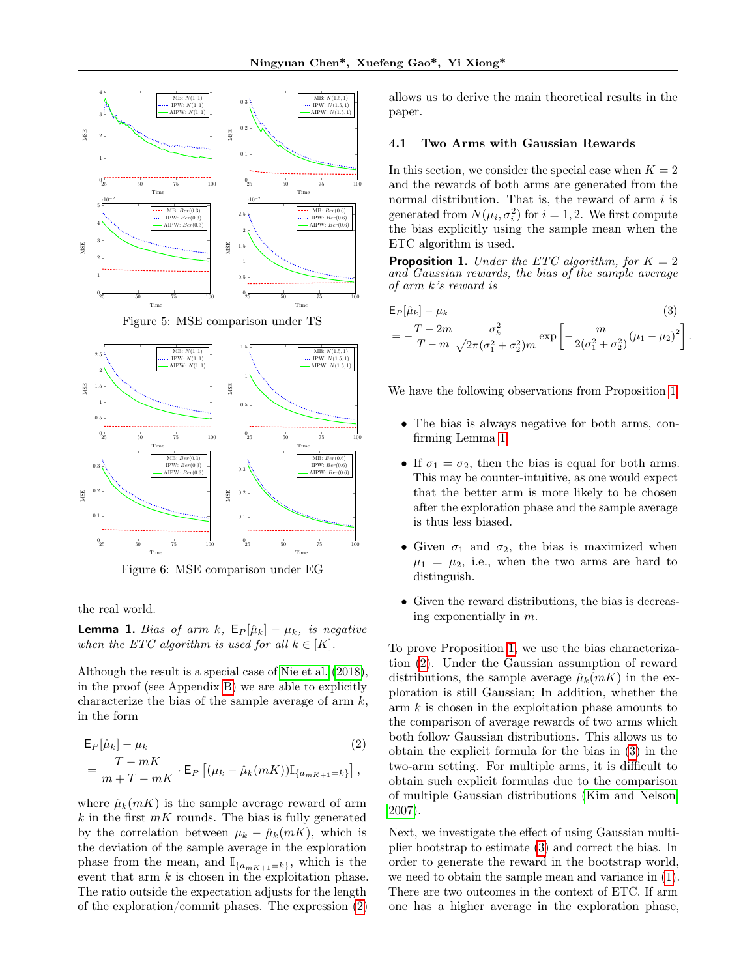



Figure 6: MSE comparison under EG

the real world.

<span id="page-6-4"></span>**Lemma 1.** Bias of arm k,  $E_P[\hat{\mu}_k] - \mu_k$ , is negative when the ETC algorithm is used for all  $k \in [K]$ .

Although the result is a special case of [Nie et al.](#page-10-0) [\(2018\)](#page-10-0), in the proof (see Appendix [B\)](#page-12-0) we are able to explicitly characterize the bias of the sample average of arm  $k$ , in the form

$$
\mathsf{E}_{P}[\hat{\mu}_{k}] - \mu_{k} \tag{2}
$$
\n
$$
= \frac{T - mK}{m + T - mK} \cdot \mathsf{E}_{P} [(\mu_{k} - \hat{\mu}_{k}(mK)) \mathbb{I}_{\{a_{mK+1} = k\}}],
$$

where  $\hat{\mu}_k(mK)$  is the sample average reward of arm  $k$  in the first  $mK$  rounds. The bias is fully generated by the correlation between  $\mu_k - \hat{\mu}_k(mK)$ , which is the deviation of the sample average in the exploration phase from the mean, and  $\mathbb{I}_{\{a_{mK+1}=k\}}$ , which is the event that arm  $k$  is chosen in the exploitation phase. The ratio outside the expectation adjusts for the length of the exploration/commit phases. The expression [\(2\)](#page-6-2) allows us to derive the main theoretical results in the paper.

#### <span id="page-6-6"></span>4.1 Two Arms with Gaussian Rewards

In this section, we consider the special case when  $K = 2$ and the rewards of both arms are generated from the normal distribution. That is, the reward of arm  $i$  is generated from  $N(\mu_i, \sigma_i^2)$  for  $i = 1, 2$ . We first compute the bias explicitly using the sample mean when the ETC algorithm is used.

<span id="page-6-3"></span>**Proposition 1.** Under the ETC algorithm, for  $K = 2$ and Gaussian rewards, the bias of the sample average of arm k's reward is

<span id="page-6-0"></span>
$$
\mathsf{E}_{P}[\hat{\mu}_{k}] - \mu_{k} \tag{3}
$$
\n
$$
= -\frac{T - 2m}{T - m} \frac{\sigma_{k}^{2}}{\sqrt{2\pi(\sigma_{1}^{2} + \sigma_{2}^{2})m}} \exp\left[-\frac{m}{2(\sigma_{1}^{2} + \sigma_{2}^{2})}(\mu_{1} - \mu_{2})^{2}\right]
$$

<span id="page-6-5"></span>.

We have the following observations from Proposition [1:](#page-6-3)

- The bias is always negative for both arms, confirming Lemma [1.](#page-6-4)
- If  $\sigma_1 = \sigma_2$ , then the bias is equal for both arms. This may be counter-intuitive, as one would expect that the better arm is more likely to be chosen after the exploration phase and the sample average is thus less biased.
- <span id="page-6-1"></span>• Given  $\sigma_1$  and  $\sigma_2$ , the bias is maximized when  $\mu_1 = \mu_2$ , i.e., when the two arms are hard to distinguish.
- Given the reward distributions, the bias is decreasing exponentially in m.

<span id="page-6-2"></span>To prove Proposition [1,](#page-6-3) we use the bias characterization [\(2\)](#page-6-2). Under the Gaussian assumption of reward distributions, the sample average  $\hat{\mu}_k(mK)$  in the exploration is still Gaussian; In addition, whether the  $arm k$  is chosen in the exploitation phase amounts to the comparison of average rewards of two arms which both follow Gaussian distributions. This allows us to obtain the explicit formula for the bias in [\(3\)](#page-6-5) in the two-arm setting. For multiple arms, it is difficult to obtain such explicit formulas due to the comparison of multiple Gaussian distributions [\(Kim and Nelson,](#page-9-26) [2007\)](#page-9-26).

Next, we investigate the effect of using Gaussian multiplier bootstrap to estimate [\(3\)](#page-6-5) and correct the bias. In order to generate the reward in the bootstrap world, we need to obtain the sample mean and variance in [\(1\)](#page-3-1). There are two outcomes in the context of ETC. If arm one has a higher average in the exploration phase,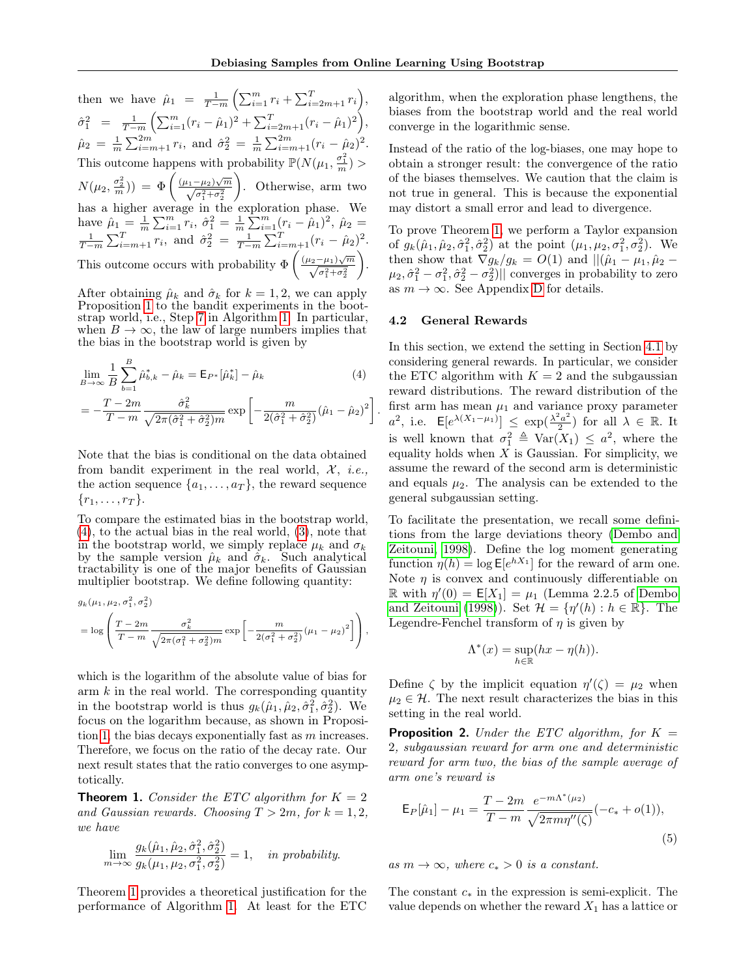.

then we have  $\hat{\mu}_1 = \frac{1}{T-m} \left( \sum_{i=1}^m r_i + \sum_{i=2m+1}^T r_i \right),$  $\hat{\sigma}_1^2 = \frac{1}{T-m} \left( \sum_{i=1}^m (r_i - \hat{\mu}_1)^2 + \sum_{i=2m+1}^T (r_i - \hat{\mu}_1)^2 \right),$  $\hat{\mu}_2 = \frac{1}{m} \sum_{i=m+1}^{2m} r_i$ , and  $\hat{\sigma}_2^2 = \frac{1}{m} \sum_{i=m+1}^{2m} (r_i - \hat{\mu}_2)^2$ . This outcome happens with probability  $\mathbb{P}(N(\mu_1, \frac{\sigma_1^2}{m}) >$  $N(\mu_2, \frac{\sigma_2^2}{m}) = \Phi\left(\frac{(\mu_1 - \mu_2)\sqrt{m}}{\sqrt{\sigma_1^2 + \sigma_2^2}}\right)$  . Otherwise, arm two has a higher average in the exploration phase. We have  $\hat{\mu}_1 = \frac{1}{m} \sum_{i=1}^m r_i$ ,  $\hat{\sigma}_1^2 = \frac{1}{m} \sum_{i=1}^m (r_i - \hat{\mu}_1)^2$ ,  $\hat{\mu}_2 =$  $\frac{1}{T-m} \sum_{i=m+1}^{T} r_i$ , and  $\hat{\sigma}_2^2 = \frac{1}{T-m} \sum_{i=m+1}^{T} (r_i - \hat{\mu}_2)^2$ . This outcome occurs with probability  $\Phi\left(\frac{(\mu_2-\mu_1)\sqrt{m}}{\sqrt{\sigma_1^2+\sigma_2^2}}\right)$ .

After obtaining  $\hat{\mu}_k$  and  $\hat{\sigma}_k$  for  $k = 1, 2$ , we can apply Proposition [1](#page-6-3) to the bandit experiments in the bootstrap world, i.e., Step [7](#page-3-2) in Algorithm [1.](#page-3-2) In particular, when  $B \to \infty$ , the law of large numbers implies that the bias in the bootstrap world is given by

$$
\lim_{B \to \infty} \frac{1}{B} \sum_{b=1}^{B} \hat{\mu}_{b,k}^{*} - \hat{\mu}_{k} = \mathsf{E}_{P^{*}}[\hat{\mu}_{k}^{*}] - \hat{\mu}_{k}
$$
\n
$$
= -\frac{T - 2m}{T - m} \frac{\hat{\sigma}_{k}^{2}}{\sqrt{2\pi(\hat{\sigma}_{1}^{2} + \hat{\sigma}_{2}^{2})m}} \exp\left[-\frac{m}{2(\hat{\sigma}_{1}^{2} + \hat{\sigma}_{2}^{2})}(\hat{\mu}_{1} - \hat{\mu}_{2})^{2}\right]
$$
\n(4)

Note that the bias is conditional on the data obtained from bandit experiment in the real world,  $\mathcal{X}, i.e.,$ the action sequence  $\{a_1, \ldots, a_T\}$ , the reward sequence  $\{r_1, \ldots, r_T\}.$ 

To compare the estimated bias in the bootstrap world, [\(4\)](#page-7-0), to the actual bias in the real world, [\(3\)](#page-6-5), note that in the bootstrap world, we simply replace  $\mu_k$  and  $\sigma_k$ by the sample version  $\hat{\mu}_k$  and  $\hat{\sigma}_k$ . Such analytical tractability is one of the major benefits of Gaussian multiplier bootstrap. We define following quantity:

$$
g_k(\mu_1, \mu_2, \sigma_1^2, \sigma_2^2)
$$
  
=  $\log \left( \frac{T - 2m}{T - m} \frac{\sigma_k^2}{\sqrt{2\pi(\sigma_1^2 + \sigma_2^2)m}} \exp \left[ -\frac{m}{2(\sigma_1^2 + \sigma_2^2)} (\mu_1 - \mu_2)^2 \right] \right)$ ,

which is the logarithm of the absolute value of bias for arm  $k$  in the real world. The corresponding quantity in the bootstrap world is thus  $g_k(\hat{\mu}_1, \hat{\mu}_2, \hat{\sigma}_1^2, \hat{\sigma}_2^2)$ . We focus on the logarithm because, as shown in Proposi-tion [1,](#page-6-3) the bias decays exponentially fast as  $m$  increases. Therefore, we focus on the ratio of the decay rate. Our next result states that the ratio converges to one asymptotically.

<span id="page-7-1"></span>**Theorem 1.** Consider the ETC algorithm for  $K = 2$ and Gaussian rewards. Choosing  $T > 2m$ , for  $k = 1, 2$ , we have

$$
\lim_{m \to \infty} \frac{g_k(\hat{\mu}_1, \hat{\mu}_2, \hat{\sigma}_1^2, \hat{\sigma}_2^2)}{g_k(\mu_1, \mu_2, \sigma_1^2, \sigma_2^2)} = 1, \text{ in probability.}
$$

Theorem [1](#page-7-1) provides a theoretical justification for the performance of Algorithm [1.](#page-3-2) At least for the ETC

algorithm, when the exploration phase lengthens, the biases from the bootstrap world and the real world converge in the logarithmic sense.

Instead of the ratio of the log-biases, one may hope to obtain a stronger result: the convergence of the ratio of the biases themselves. We caution that the claim is not true in general. This is because the exponential may distort a small error and lead to divergence.

To prove Theorem [1,](#page-7-1) we perform a Taylor expansion of  $g_k(\hat{\mu}_1, \hat{\mu}_2, \hat{\sigma}_1^2, \hat{\sigma}_2^2)$  at the point  $(\mu_1, \mu_2, \sigma_1^2, \sigma_2^2)$ . We then show that  $\nabla g_k/g_k = O(1)$  and  $||(\hat{\mu}_1 - \mu_1, \hat{\mu}_2 \mu_2, \hat{\sigma}_1^2 - \sigma_1^2, \hat{\sigma}_2^2 - \sigma_2^2$ )|| converges in probability to zero as  $m \to \infty$ . See Appendix [D](#page-13-0) for details.

#### 4.2 General Rewards

<span id="page-7-0"></span>In this section, we extend the setting in Section [4.1](#page-6-6) by considering general rewards. In particular, we consider the ETC algorithm with  $K = 2$  and the subgaussian reward distributions. The reward distribution of the first arm has mean  $\mu_1$  and variance proxy parameter  $a^2$ , i.e.  $\mathsf{E}[e^{\lambda(X_1-\mu_1)}] \leq \exp(\frac{\lambda^2 a^2}{2})$  $\frac{a^2 a^2}{2}$ ) for all  $\lambda \in \mathbb{R}$ . It is well known that  $\sigma_1^2 \triangleq \text{Var}(X_1) \leq a^2$ , where the equality holds when  $X$  is Gaussian. For simplicity, we assume the reward of the second arm is deterministic and equals  $\mu_2$ . The analysis can be extended to the general subgaussian setting.

To facilitate the presentation, we recall some definitions from the large deviations theory [\(Dembo and](#page-9-27) [Zeitouni, 1998\)](#page-9-27). Define the log moment generating function  $\eta(h) = \log \mathsf{E}[e^{hX_1}]$  for the reward of arm one. Note  $\eta$  is convex and continuously differentiable on  $\mathbb R$  with  $\eta'(0) = \mathsf{E}[X_1] = \mu_1$  (Lemma 2.2.5 of [Dembo](#page-9-27) [and Zeitouni](#page-9-27) [\(1998\)](#page-9-27)). Set  $\mathcal{H} = \{\eta'(h) : h \in \mathbb{R}\}.$  The Legendre-Fenchel transform of  $\eta$  is given by

$$
\Lambda^*(x) = \sup_{h \in \mathbb{R}} (hx - \eta(h)).
$$

Define  $\zeta$  by the implicit equation  $\eta'(\zeta) = \mu_2$  when  $\mu_2 \in \mathcal{H}$ . The next result characterizes the bias in this setting in the real world.

<span id="page-7-2"></span>**Proposition 2.** Under the ETC algorithm, for  $K =$ 2, subgaussian reward for arm one and deterministic reward for arm two, the bias of the sample average of arm one's reward is

<span id="page-7-3"></span>
$$
\mathsf{E}_{P}[\hat{\mu}_1] - \mu_1 = \frac{T - 2m}{T - m} \frac{e^{-m\Lambda^*(\mu_2)}}{\sqrt{2\pi m\eta''(\zeta)}} (-c_* + o(1)),\tag{5}
$$

as  $m \to \infty$ , where  $c_* > 0$  is a constant.

The constant  $c_*$  in the expression is semi-explicit. The value depends on whether the reward  $X_1$  has a lattice or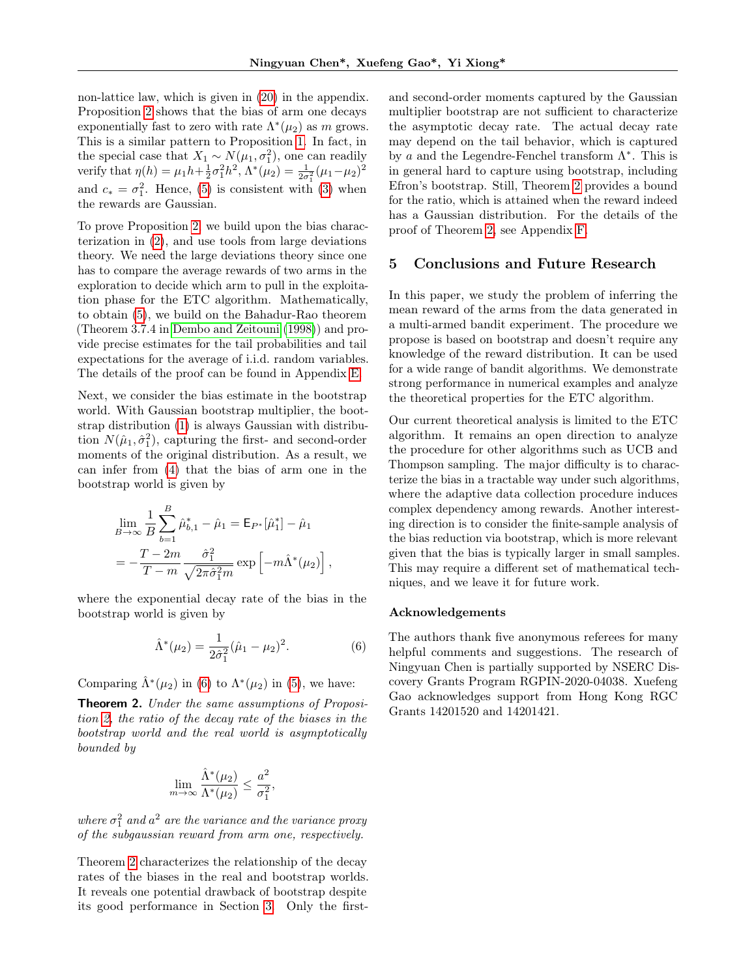non-lattice law, which is given in [\(20\)](#page-17-0) in the appendix. Proposition [2](#page-7-2) shows that the bias of arm one decays exponentially fast to zero with rate  $\Lambda^*(\mu_2)$  as m grows. This is a similar pattern to Proposition [1.](#page-6-3) In fact, in the special case that  $X_1 \sim N(\mu_1, \sigma_1^2)$ , one can readily verify that  $\eta(h) = \mu_1 h + \frac{1}{2} \sigma_1^2 h^2$ ,  $\Lambda^*(\mu_2) = \frac{1}{2\sigma_1^2} (\mu_1 - \mu_2)^2$ and  $c_* = \sigma_1^2$ . Hence, [\(5\)](#page-7-3) is consistent with [\(3\)](#page-6-5) when the rewards are Gaussian.

To prove Proposition [2,](#page-7-2) we build upon the bias characterization in [\(2\)](#page-6-2), and use tools from large deviations theory. We need the large deviations theory since one has to compare the average rewards of two arms in the exploration to decide which arm to pull in the exploitation phase for the ETC algorithm. Mathematically, to obtain [\(5\)](#page-7-3), we build on the Bahadur-Rao theorem (Theorem 3.7.4 in [Dembo and Zeitouni](#page-9-27) [\(1998\)](#page-9-27)) and provide precise estimates for the tail probabilities and tail expectations for the average of i.i.d. random variables. The details of the proof can be found in Appendix [E.](#page-15-0)

Next, we consider the bias estimate in the bootstrap world. With Gaussian bootstrap multiplier, the bootstrap distribution [\(1\)](#page-3-1) is always Gaussian with distribution  $N(\hat{\mu}_1, \hat{\sigma}_1^2)$ , capturing the first- and second-order moments of the original distribution. As a result, we can infer from [\(4\)](#page-7-0) that the bias of arm one in the bootstrap world is given by

$$
\lim_{B \to \infty} \frac{1}{B} \sum_{b=1}^{B} \hat{\mu}_{b,1}^* - \hat{\mu}_1 = \mathsf{E}_{P^*}[\hat{\mu}_1^*] - \hat{\mu}_1
$$

$$
= -\frac{T - 2m}{T - m} \frac{\hat{\sigma}_1^2}{\sqrt{2\pi \hat{\sigma}_1^2 m}} \exp \left[ -m \hat{\Lambda}^*(\mu_2) \right],
$$

where the exponential decay rate of the bias in the bootstrap world is given by

$$
\hat{\Lambda}^*(\mu_2) = \frac{1}{2\hat{\sigma}_1^2} (\hat{\mu}_1 - \mu_2)^2.
$$
 (6)

Comparing  $\hat{\Lambda}^*(\mu_2)$  in [\(6\)](#page-8-0) to  $\Lambda^*(\mu_2)$  in [\(5\)](#page-7-3), we have:

<span id="page-8-1"></span>Theorem 2. Under the same assumptions of Proposition [2,](#page-7-2) the ratio of the decay rate of the biases in the bootstrap world and the real world is asymptotically bounded by

$$
\lim_{m \to \infty} \frac{\hat{\Lambda}^*(\mu_2)}{\Lambda^*(\mu_2)} \le \frac{a^2}{\sigma_1^2},
$$

where  $\sigma_1^2$  and  $a^2$  are the variance and the variance proxy of the subgaussian reward from arm one, respectively.

Theorem [2](#page-8-1) characterizes the relationship of the decay rates of the biases in the real and bootstrap worlds. It reveals one potential drawback of bootstrap despite its good performance in Section [3.](#page-3-0) Only the firstand second-order moments captured by the Gaussian multiplier bootstrap are not sufficient to characterize the asymptotic decay rate. The actual decay rate may depend on the tail behavior, which is captured by a and the Legendre-Fenchel transform  $\Lambda^*$ . This is in general hard to capture using bootstrap, including Efron's bootstrap. Still, Theorem [2](#page-8-1) provides a bound for the ratio, which is attained when the reward indeed has a Gaussian distribution. For the details of the proof of Theorem [2,](#page-8-1) see Appendix [F.](#page-19-0)

### 5 Conclusions and Future Research

In this paper, we study the problem of inferring the mean reward of the arms from the data generated in a multi-armed bandit experiment. The procedure we propose is based on bootstrap and doesn't require any knowledge of the reward distribution. It can be used for a wide range of bandit algorithms. We demonstrate strong performance in numerical examples and analyze the theoretical properties for the ETC algorithm.

Our current theoretical analysis is limited to the ETC algorithm. It remains an open direction to analyze the procedure for other algorithms such as UCB and Thompson sampling. The major difficulty is to characterize the bias in a tractable way under such algorithms, where the adaptive data collection procedure induces complex dependency among rewards. Another interesting direction is to consider the finite-sample analysis of the bias reduction via bootstrap, which is more relevant given that the bias is typically larger in small samples. This may require a different set of mathematical techniques, and we leave it for future work.

#### Acknowledgements

<span id="page-8-0"></span>The authors thank five anonymous referees for many helpful comments and suggestions. The research of Ningyuan Chen is partially supported by NSERC Discovery Grants Program RGPIN-2020-04038. Xuefeng Gao acknowledges support from Hong Kong RGC Grants 14201520 and 14201421.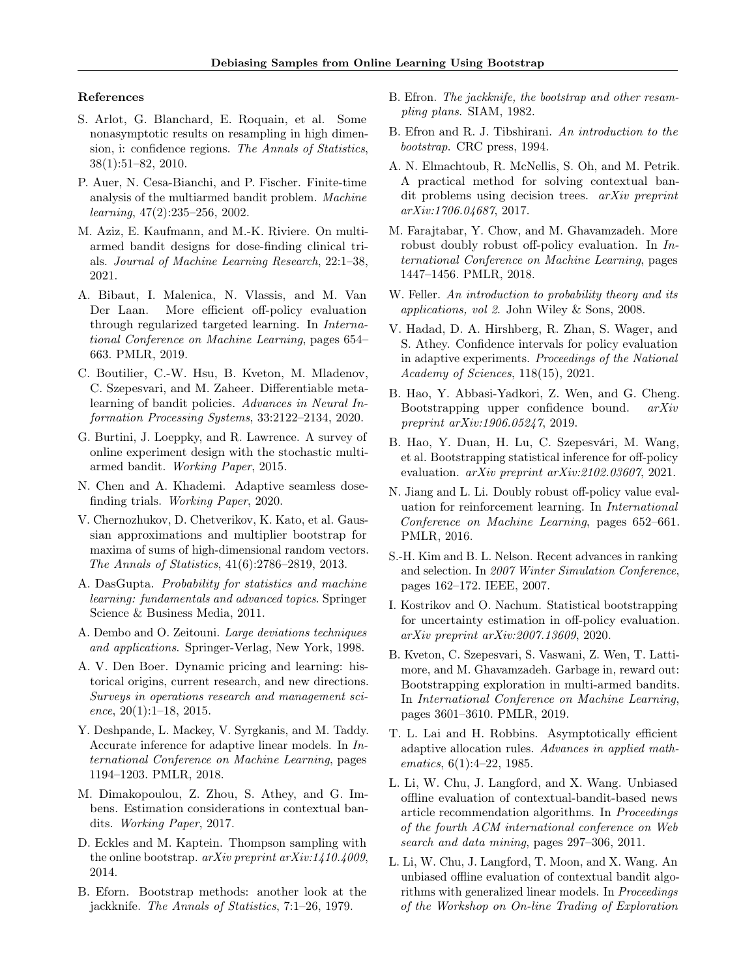#### References

- <span id="page-9-25"></span>S. Arlot, G. Blanchard, E. Roquain, et al. Some nonasymptotic results on resampling in high dimension, i: confidence regions. The Annals of Statistics, 38(1):51–82, 2010.
- <span id="page-9-4"></span>P. Auer, N. Cesa-Bianchi, and P. Fischer. Finite-time analysis of the multiarmed bandit problem. Machine learning, 47(2):235–256, 2002.
- <span id="page-9-8"></span>M. Aziz, E. Kaufmann, and M.-K. Riviere. On multiarmed bandit designs for dose-finding clinical trials. Journal of Machine Learning Research, 22:1–38, 2021.
- <span id="page-9-23"></span>A. Bibaut, I. Malenica, N. Vlassis, and M. Van Der Laan. More efficient off-policy evaluation through regularized targeted learning. In International Conference on Machine Learning, pages 654– 663. PMLR, 2019.
- <span id="page-9-14"></span>C. Boutilier, C.-W. Hsu, B. Kveton, M. Mladenov, C. Szepesvari, and M. Zaheer. Differentiable metalearning of bandit policies. Advances in Neural Information Processing Systems, 33:2122–2134, 2020.
- <span id="page-9-2"></span>G. Burtini, J. Loeppky, and R. Lawrence. A survey of online experiment design with the stochastic multiarmed bandit. Working Paper, 2015.
- <span id="page-9-7"></span>N. Chen and A. Khademi. Adaptive seamless dosefinding trials. Working Paper, 2020.
- <span id="page-9-13"></span>V. Chernozhukov, D. Chetverikov, K. Kato, et al. Gaussian approximations and multiplier bootstrap for maxima of sums of high-dimensional random vectors. The Annals of Statistics, 41(6):2786–2819, 2013.
- <span id="page-9-29"></span>A. DasGupta. Probability for statistics and machine learning: fundamentals and advanced topics. Springer Science & Business Media, 2011.
- <span id="page-9-27"></span>A. Dembo and O. Zeitouni. Large deviations techniques and applications. Springer-Verlag, New York, 1998.
- <span id="page-9-1"></span>A. V. Den Boer. Dynamic pricing and learning: historical origins, current research, and new directions. Surveys in operations research and management science, 20(1):1–18, 2015.
- <span id="page-9-15"></span>Y. Deshpande, L. Mackey, V. Syrgkanis, and M. Taddy. Accurate inference for adaptive linear models. In International Conference on Machine Learning, pages 1194–1203. PMLR, 2018.
- <span id="page-9-9"></span>M. Dimakopoulou, Z. Zhou, S. Athey, and G. Imbens. Estimation considerations in contextual bandits. Working Paper, 2017.
- <span id="page-9-18"></span>D. Eckles and M. Kaptein. Thompson sampling with the online bootstrap.  $arXiv$  preprint  $arXiv:1410.4009$ , 2014.
- <span id="page-9-16"></span>B. Eforn. Bootstrap methods: another look at the jackknife. The Annals of Statistics, 7:1–26, 1979.
- <span id="page-9-24"></span>B. Efron. The jackknife, the bootstrap and other resampling plans. SIAM, 1982.
- <span id="page-9-12"></span>B. Efron and R. J. Tibshirani. An introduction to the bootstrap. CRC press, 1994.
- <span id="page-9-19"></span>A. N. Elmachtoub, R. McNellis, S. Oh, and M. Petrik. A practical method for solving contextual bandit problems using decision trees. arXiv preprint arXiv:1706.04687, 2017.
- <span id="page-9-10"></span>M. Farajtabar, Y. Chow, and M. Ghavamzadeh. More robust doubly robust off-policy evaluation. In International Conference on Machine Learning, pages 1447–1456. PMLR, 2018.
- <span id="page-9-28"></span>W. Feller. An introduction to probability theory and its applications, vol 2. John Wiley & Sons, 2008.
- <span id="page-9-11"></span>V. Hadad, D. A. Hirshberg, R. Zhan, S. Wager, and S. Athey. Confidence intervals for policy evaluation in adaptive experiments. Proceedings of the National Academy of Sciences, 118(15), 2021.
- <span id="page-9-17"></span>B. Hao, Y. Abbasi-Yadkori, Z. Wen, and G. Cheng. Bootstrapping upper confidence bound. arXiv preprint arXiv:1906.05247, 2019.
- <span id="page-9-22"></span>B. Hao, Y. Duan, H. Lu, C. Szepesvári, M. Wang, et al. Bootstrapping statistical inference for off-policy evaluation. arXiv preprint arXiv:2102.03607, 2021.
- <span id="page-9-6"></span>N. Jiang and L. Li. Doubly robust off-policy value evaluation for reinforcement learning. In International Conference on Machine Learning, pages 652–661. PMLR, 2016.
- <span id="page-9-26"></span>S.-H. Kim and B. L. Nelson. Recent advances in ranking and selection. In 2007 Winter Simulation Conference, pages 162–172. IEEE, 2007.
- <span id="page-9-21"></span>I. Kostrikov and O. Nachum. Statistical bootstrapping for uncertainty estimation in off-policy evaluation. arXiv preprint arXiv:2007.13609, 2020.
- <span id="page-9-20"></span>B. Kveton, C. Szepesvari, S. Vaswani, Z. Wen, T. Lattimore, and M. Ghavamzadeh. Garbage in, reward out: Bootstrapping exploration in multi-armed bandits. In International Conference on Machine Learning, pages 3601–3610. PMLR, 2019.
- <span id="page-9-3"></span>T. L. Lai and H. Robbins. Asymptotically efficient adaptive allocation rules. Advances in applied mathematics, 6(1):4-22, 1985.
- <span id="page-9-0"></span>L. Li, W. Chu, J. Langford, and X. Wang. Unbiased offline evaluation of contextual-bandit-based news article recommendation algorithms. In Proceedings of the fourth ACM international conference on Web search and data mining, pages 297–306, 2011.
- <span id="page-9-5"></span>L. Li, W. Chu, J. Langford, T. Moon, and X. Wang. An unbiased offline evaluation of contextual bandit algorithms with generalized linear models. In Proceedings of the Workshop on On-line Trading of Exploration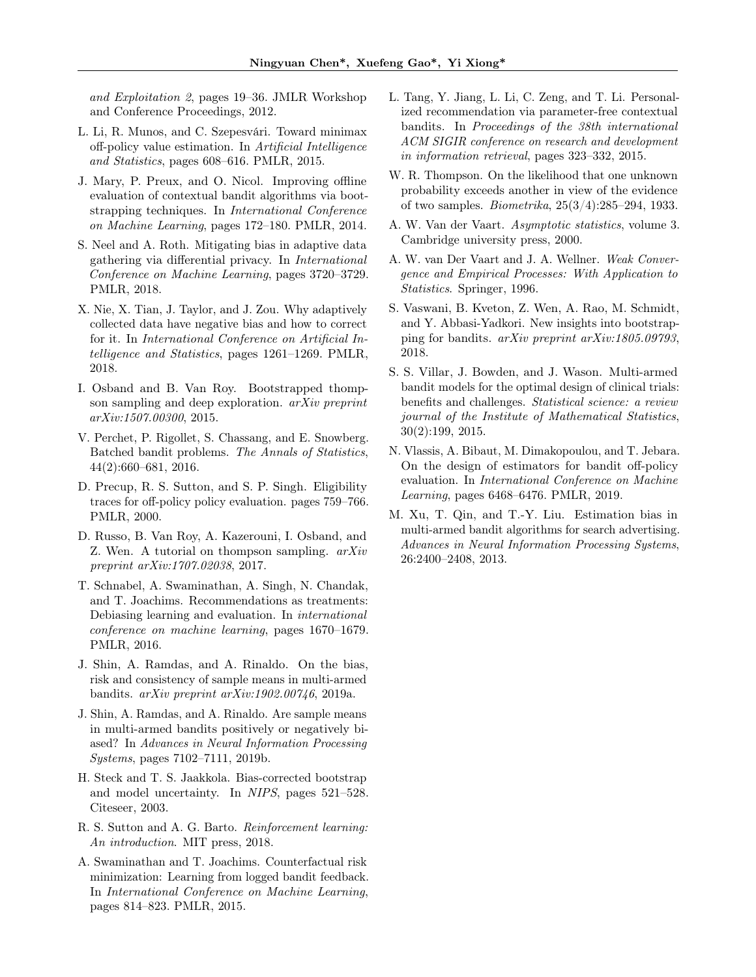and Exploitation 2, pages 19–36. JMLR Workshop and Conference Proceedings, 2012.

- <span id="page-10-6"></span>L. Li, R. Munos, and C. Szepesvári. Toward minimax off-policy value estimation. In Artificial Intelligence and Statistics, pages 608–616. PMLR, 2015.
- <span id="page-10-17"></span>J. Mary, P. Preux, and O. Nicol. Improving offline evaluation of contextual bandit algorithms via bootstrapping techniques. In International Conference on Machine Learning, pages 172–180. PMLR, 2014.
- <span id="page-10-11"></span>S. Neel and A. Roth. Mitigating bias in adaptive data gathering via differential privacy. In International Conference on Machine Learning, pages 3720–3729. PMLR, 2018.
- <span id="page-10-0"></span>X. Nie, X. Tian, J. Taylor, and J. Zou. Why adaptively collected data have negative bias and how to correct for it. In International Conference on Artificial Intelligence and Statistics, pages 1261–1269. PMLR, 2018.
- <span id="page-10-14"></span>I. Osband and B. Van Roy. Bootstrapped thompson sampling and deep exploration. arXiv preprint arXiv:1507.00300, 2015.
- <span id="page-10-9"></span>V. Perchet, P. Rigollet, S. Chassang, and E. Snowberg. Batched bandit problems. The Annals of Statistics, 44(2):660–681, 2016.
- <span id="page-10-5"></span>D. Precup, R. S. Sutton, and S. P. Singh. Eligibility traces for off-policy policy evaluation. pages 759–766. PMLR, 2000.
- <span id="page-10-20"></span>D. Russo, B. Van Roy, A. Kazerouni, I. Osband, and Z. Wen. A tutorial on thompson sampling. arXiv preprint arXiv:1707.02038, 2017.
- <span id="page-10-12"></span>T. Schnabel, A. Swaminathan, A. Singh, N. Chandak, and T. Joachims. Recommendations as treatments: Debiasing learning and evaluation. In international conference on machine learning, pages 1670–1679. PMLR, 2016.
- <span id="page-10-1"></span>J. Shin, A. Ramdas, and A. Rinaldo. On the bias, risk and consistency of sample means in multi-armed bandits. arXiv preprint arXiv:1902.00746, 2019a.
- <span id="page-10-2"></span>J. Shin, A. Ramdas, and A. Rinaldo. Are sample means in multi-armed bandits positively or negatively biased? In Advances in Neural Information Processing Systems, pages 7102–7111, 2019b.
- <span id="page-10-18"></span>H. Steck and T. S. Jaakkola. Bias-corrected bootstrap and model uncertainty. In NIPS, pages 521–528. Citeseer, 2003.
- <span id="page-10-19"></span>R. S. Sutton and A. G. Barto. Reinforcement learning: An *introduction*. MIT press, 2018.
- <span id="page-10-7"></span>A. Swaminathan and T. Joachims. Counterfactual risk minimization: Learning from logged bandit feedback. In International Conference on Machine Learning, pages 814–823. PMLR, 2015.
- <span id="page-10-15"></span>L. Tang, Y. Jiang, L. Li, C. Zeng, and T. Li. Personalized recommendation via parameter-free contextual bandits. In Proceedings of the 38th international ACM SIGIR conference on research and development in information retrieval, pages 323–332, 2015.
- <span id="page-10-4"></span>W. R. Thompson. On the likelihood that one unknown probability exceeds another in view of the evidence of two samples. Biometrika, 25(3/4):285–294, 1933.
- <span id="page-10-21"></span>A. W. Van der Vaart. Asymptotic statistics, volume 3. Cambridge university press, 2000.
- <span id="page-10-8"></span>A. W. van Der Vaart and J. A. Wellner. Weak Convergence and Empirical Processes: With Application to Statistics. Springer, 1996.
- <span id="page-10-16"></span>S. Vaswani, B. Kveton, Z. Wen, A. Rao, M. Schmidt, and Y. Abbasi-Yadkori. New insights into bootstrapping for bandits. arXiv preprint arXiv:1805.09793, 2018.
- <span id="page-10-3"></span>S. S. Villar, J. Bowden, and J. Wason. Multi-armed bandit models for the optimal design of clinical trials: benefits and challenges. Statistical science: a review journal of the Institute of Mathematical Statistics, 30(2):199, 2015.
- <span id="page-10-13"></span>N. Vlassis, A. Bibaut, M. Dimakopoulou, and T. Jebara. On the design of estimators for bandit off-policy evaluation. In International Conference on Machine Learning, pages 6468–6476. PMLR, 2019.
- <span id="page-10-10"></span>M. Xu, T. Qin, and T.-Y. Liu. Estimation bias in multi-armed bandit algorithms for search advertising. Advances in Neural Information Processing Systems, 26:2400–2408, 2013.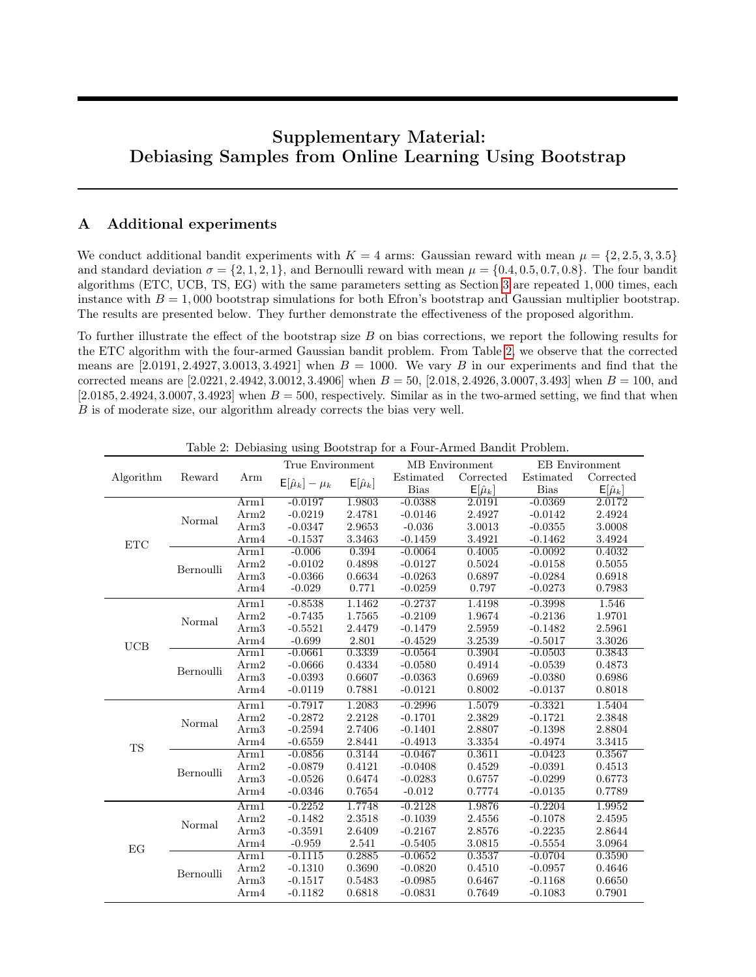# Supplementary Material: Debiasing Samples from Online Learning Using Bootstrap

# <span id="page-11-0"></span>A Additional experiments

We conduct additional bandit experiments with  $K = 4$  arms: Gaussian reward with mean  $\mu = \{2, 2.5, 3, 3.5\}$ and standard deviation  $\sigma = \{2, 1, 2, 1\}$ , and Bernoulli reward with mean  $\mu = \{0.4, 0.5, 0.7, 0.8\}$ . The four bandit algorithms (ETC, UCB, TS, EG) with the same parameters setting as Section [3](#page-3-0) are repeated 1, 000 times, each instance with  $B = 1,000$  bootstrap simulations for both Efron's bootstrap and Gaussian multiplier bootstrap. The results are presented below. They further demonstrate the effectiveness of the proposed algorithm.

To further illustrate the effect of the bootstrap size B on bias corrections, we report the following results for the ETC algorithm with the four-armed Gaussian bandit problem. From Table [2,](#page-11-1) we observe that the corrected means are  $[2.0191, 2.4927, 3.0013, 3.4921]$  when  $B = 1000$ . We vary B in our experiments and find that the corrected means are  $[2.0221, 2.4942, 3.0012, 3.4906]$  when  $B = 50$ ,  $[2.018, 2.4926, 3.0007, 3.493]$  when  $B = 100$ , and  $[2.0185, 2.4924, 3.0007, 3.4923]$  when  $B = 500$ , respectively. Similar as in the two-armed setting, we find that when B is of moderate size, our algorithm already corrects the bias very well.

<span id="page-11-1"></span>

| Algorithm  | Reward    | Arm              | True Environment                  |                  | MB Environment |                  | <b>EB</b> Environment |                  |
|------------|-----------|------------------|-----------------------------------|------------------|----------------|------------------|-----------------------|------------------|
|            |           |                  | $\mathsf{E}[\hat{\mu}_k] - \mu_k$ | $E[\hat{\mu}_k]$ | Estimated      | Corrected        | Estimated             | Corrected        |
|            |           |                  |                                   |                  | <b>Bias</b>    | $E[\hat{\mu}_k]$ | <b>Bias</b>           | $E[\hat{\mu}_k]$ |
| <b>ETC</b> | Normal    | Arm1             | $-0.0197$                         | 1.9803           | $-0.0388$      | 2.0191           | $-0.0369$             | 2.0172           |
|            |           | Arm2             | $-0.0219$                         | 2.4781           | $-0.0146$      | 2.4927           | $-0.0142$             | 2.4924           |
|            |           | Arm <sub>3</sub> | $-0.0347$                         | 2.9653           | $-0.036$       | 3.0013           | $-0.0355$             | 3.0008           |
|            |           | Arm4             | $-0.1537$                         | 3.3463           | $-0.1459$      | 3.4921           | $-0.1462$             | 3.4924           |
|            | Bernoulli | Arm1             | $-0.006$                          | 0.394            | $-0.0064$      | 0.4005           | $-0.0092$             | 0.4032           |
|            |           | Arm <sub>2</sub> | $-0.0102$                         | 0.4898           | $-0.0127$      | 0.5024           | $-0.0158$             | 0.5055           |
|            |           | Arm <sub>3</sub> | $-0.0366$                         | 0.6634           | $-0.0263$      | 0.6897           | $-0.0284$             | 0.6918           |
|            |           | Arm4             | $-0.029$                          | 0.771            | $-0.0259$      | 0.797            | $-0.0273$             | 0.7983           |
| UCB        | Normal    | Arm1             | $-0.8538$                         | 1.1462           | $-0.2737$      | 1.4198           | $-0.3998$             | 1.546            |
|            |           | Arm2             | $-0.7435$                         | 1.7565           | $-0.2109$      | 1.9674           | $-0.2136$             | 1.9701           |
|            |           | Arm <sub>3</sub> | $-0.5521$                         | 2.4479           | $-0.1479$      | 2.5959           | $-0.1482$             | 2.5961           |
|            |           | Arm4             | $-0.699$                          | 2.801            | $-0.4529$      | 3.2539           | $-0.5017$             | 3.3026           |
|            | Bernoulli | Arm1             | $-0.0661$                         | 0.3339           | $-0.0564$      | 0.3904           | $-0.0503$             | 0.3843           |
|            |           | Arm <sub>2</sub> | $-0.0666$                         | 0.4334           | $-0.0580$      | 0.4914           | $-0.0539$             | 0.4873           |
|            |           | Arm <sub>3</sub> | $-0.0393$                         | 0.6607           | $-0.0363$      | 0.6969           | $-0.0380$             | 0.6986           |
|            |           | Arm4             | $-0.0119$                         | 0.7881           | $-0.0121$      | 0.8002           | $-0.0137$             | 0.8018           |
| <b>TS</b>  | Normal    | Arm1             | $-0.7917$                         | 1.2083           | $-0.2996$      | 1.5079           | $-0.3321$             | 1.5404           |
|            |           | Arm2             | $-0.2872$                         | 2.2128           | $-0.1701$      | 2.3829           | $-0.1721$             | 2.3848           |
|            |           | Arm <sub>3</sub> | $-0.2594$                         | 2.7406           | $-0.1401$      | 2.8807           | $-0.1398$             | 2.8804           |
|            |           | Arm4             | $-0.6559$                         | 2.8441           | $-0.4913$      | 3.3354           | $-0.4974$             | 3.3415           |
|            | Bernoulli | Arm1             | $-0.0856$                         | 0.3144           | $-0.0467$      | 0.3611           | $-0.0423$             | 0.3567           |
|            |           | Arm2             | $-0.0879$                         | 0.4121           | $-0.0408$      | 0.4529           | $-0.0391$             | 0.4513           |
|            |           | Arm <sub>3</sub> | $-0.0526$                         | 0.6474           | $-0.0283$      | 0.6757           | $-0.0299$             | 0.6773           |
|            |           | Arm4             | $-0.0346$                         | 0.7654           | $-0.012$       | 0.7774           | $-0.0135$             | 0.7789           |
| EG         | Normal    | Arm1             | $-0.2252$                         | 1.7748           | $-0.2128$      | 1.9876           | $-0.2204$             | 1.9952           |
|            |           | Arm2             | $-0.1482$                         | 2.3518           | $-0.1039$      | 2.4556           | $-0.1078$             | 2.4595           |
|            |           | Arm <sub>3</sub> | $-0.3591$                         | 2.6409           | $-0.2167$      | 2.8576           | $-0.2235$             | 2.8644           |
|            |           | Arm4             | $-0.959$                          | 2.541            | $-0.5405$      | 3.0815           | $-0.5554$             | 3.0964           |
|            | Bernoulli | Arm1             | $-0.1115$                         | 0.2885           | $-0.0652$      | 0.3537           | $-0.0704$             | 0.3590           |
|            |           | Arm2             | $-0.1310$                         | 0.3690           | $-0.0820$      | 0.4510           | $-0.0957$             | 0.4646           |
|            |           | Arm3             | $-0.1517$                         | 0.5483           | $-0.0985$      | 0.6467           | $-0.1168$             | 0.6650           |
|            |           | Arm4             | $-0.1182$                         | 0.6818           | $-0.0831$      | 0.7649           | $-0.1083$             | 0.7901           |

Table 2: Debiasing using Bootstrap for a Four-Armed Bandit Problem.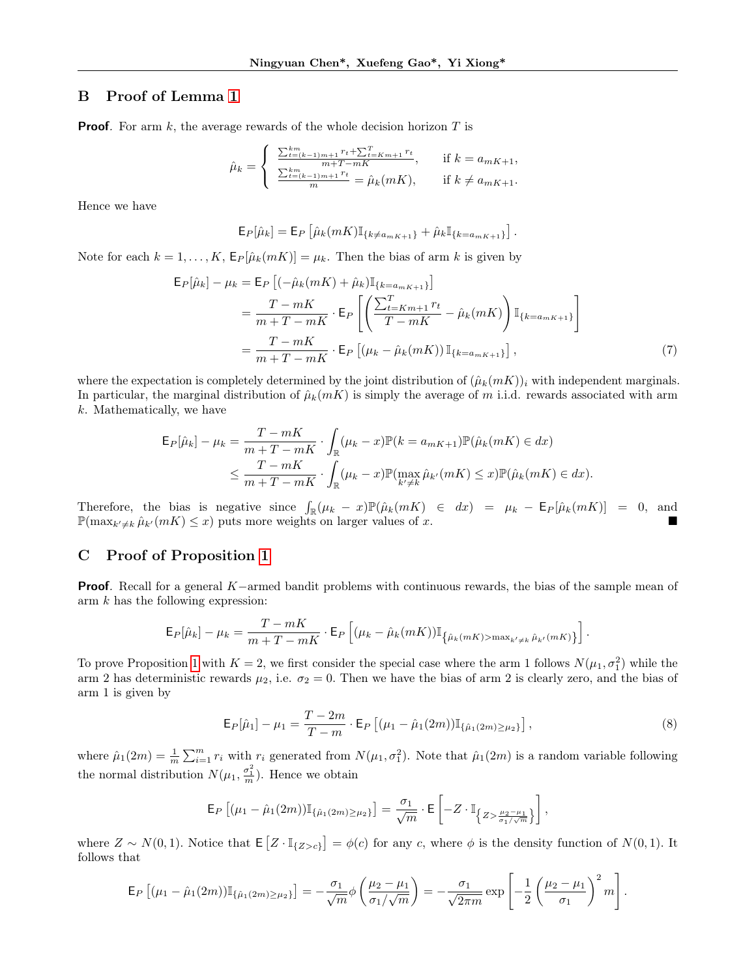# <span id="page-12-0"></span>B Proof of Lemma [1](#page-6-4)

**Proof.** For arm  $k$ , the average rewards of the whole decision horizon  $T$  is

$$
\hat{\mu}_k = \begin{cases}\n\frac{\sum_{t=(k-1)m+1}^{km} r_t + \sum_{t=Km+1}^{T} r_t}{m+T-mK}, & \text{if } k = a_{mK+1}, \\
\frac{\sum_{t=(k-1)m+1}^{km} r_t}{m} = \hat{\mu}_k(mK), & \text{if } k \neq a_{mK+1}.\n\end{cases}
$$

Hence we have

<span id="page-12-2"></span>
$$
\mathsf{E}_{P}[\hat{\mu}_{k}] = \mathsf{E}_{P} \left[ \hat{\mu}_{k}(mK) \mathbb{I}_{\{k \neq a_{mK+1}\}} + \hat{\mu}_{k} \mathbb{I}_{\{k = a_{mK+1}\}} \right].
$$

Note for each  $k = 1, ..., K$ ,  $\mathsf{E}_P[\hat{\mu}_k(mK)] = \mu_k$ . Then the bias of arm k is given by

$$
\mathsf{E}_{P}[\hat{\mu}_{k}] - \mu_{k} = \mathsf{E}_{P} [(-\hat{\mu}_{k}(mK) + \hat{\mu}_{k}) \mathbb{I}_{\{k=a_{mK+1}\}}]
$$
  
\n
$$
= \frac{T - mK}{m + T - mK} \cdot \mathsf{E}_{P} \left[ \left( \frac{\sum_{t=Km+1}^{T} r_{t}}{T - mK} - \hat{\mu}_{k}(mK) \right) \mathbb{I}_{\{k=a_{mK+1}\}} \right]
$$
  
\n
$$
= \frac{T - mK}{m + T - mK} \cdot \mathsf{E}_{P} \left[ (\mu_{k} - \hat{\mu}_{k}(mK)) \mathbb{I}_{\{k=a_{mK+1}\}} \right],
$$
\n(7)

where the expectation is completely determined by the joint distribution of  $(\hat{\mu}_k(mK))_i$  with independent marginals. In particular, the marginal distribution of  $\hat{\mu}_k(mK)$  is simply the average of m i.i.d. rewards associated with arm k. Mathematically, we have

$$
\mathsf{E}_{P}[\hat{\mu}_{k}] - \mu_{k} = \frac{T - mK}{m + T - mK} \cdot \int_{\mathbb{R}} (\mu_{k} - x) \mathbb{P}(k = a_{mK+1}) \mathbb{P}(\hat{\mu}_{k}(mK) \in dx)
$$
  

$$
\leq \frac{T - mK}{m + T - mK} \cdot \int_{\mathbb{R}} (\mu_{k} - x) \mathbb{P}(\max_{k' \neq k} \hat{\mu}_{k'}(mK) \leq x) \mathbb{P}(\hat{\mu}_{k}(mK) \in dx).
$$

Therefore, the bias is negative since  $\int_{\mathbb{R}} (\mu_k - x) \mathbb{P}(\hat{\mu}_k(mK)) \in dx$  =  $\mu_k - \mathsf{E}_P[\hat{\mu}_k(mK)] = 0$ , and  $\mathbb{P}(\max_{k'\neq k}\hat{\mu}_{k'}(mK)\leq x)$  puts more weights on larger values of x.

# C Proof of Proposition [1](#page-6-3)

Proof. Recall for a general K−armed bandit problems with continuous rewards, the bias of the sample mean of arm k has the following expression:

$$
\mathsf{E}_{P}[\hat{\mu}_k] - \mu_k = \frac{T-mK}{m+T-mK}\cdot\mathsf{E}_{P}\left[(\mu_k - \hat{\mu}_k(mK))\mathbb{I}_{\left\{\hat{\mu}_k(mK)>\max_{k'\neq k}\hat{\mu}_{k'}(mK)\right\}}\right].
$$

To prove Proposition [1](#page-6-3) with  $K = 2$ , we first consider the special case where the arm 1 follows  $N(\mu_1, \sigma_1^2)$  while the arm 2 has deterministic rewards  $\mu_2$ , i.e.  $\sigma_2 = 0$ . Then we have the bias of arm 2 is clearly zero, and the bias of arm 1 is given by

<span id="page-12-1"></span>
$$
\mathsf{E}_{P}[\hat{\mu}_1] - \mu_1 = \frac{T - 2m}{T - m} \cdot \mathsf{E}_{P} \left[ (\mu_1 - \hat{\mu}_1(2m)) \mathbb{I}_{\{\hat{\mu}_1(2m) \ge \mu_2\}} \right],\tag{8}
$$

where  $\hat{\mu}_1(2m) = \frac{1}{m} \sum_{i=1}^m r_i$  with  $r_i$  generated from  $N(\mu_1, \sigma_1^2)$ . Note that  $\hat{\mu}_1(2m)$  is a random variable following the normal distribution  $N(\mu_1, \frac{\sigma_1^2}{m})$ . Hence we obtain

$$
\mathsf{E}_{P}\left[ (\mu_1 - \hat{\mu}_1(2m)) \mathbb{I}_{\{\hat{\mu}_1(2m) \geq \mu_2\}} \right] = \frac{\sigma_1}{\sqrt{m}} \cdot \mathsf{E}\left[ -Z \cdot \mathbb{I}_{\left\{Z > \frac{\mu_2 - \mu_1}{\sigma_1/\sqrt{m}}\right\}} \right],
$$

where  $Z \sim N(0, 1)$ . Notice that  $\mathsf{E}\left[Z \cdot \mathbb{I}_{\{Z>c\}}\right] = \phi(c)$  for any c, where  $\phi$  is the density function of  $N(0, 1)$ . It follows that

$$
\mathsf{E}_{P}\left[ (\mu_{1} - \hat{\mu}_{1}(2m)) \mathbb{I}_{\{\hat{\mu}_{1}(2m) \geq \mu_{2}\}}\right] = -\frac{\sigma_{1}}{\sqrt{m}} \phi\left(\frac{\mu_{2} - \mu_{1}}{\sigma_{1}/\sqrt{m}}\right) = -\frac{\sigma_{1}}{\sqrt{2\pi m}} \exp\left[-\frac{1}{2}\left(\frac{\mu_{2} - \mu_{1}}{\sigma_{1}}\right)^{2} m\right].
$$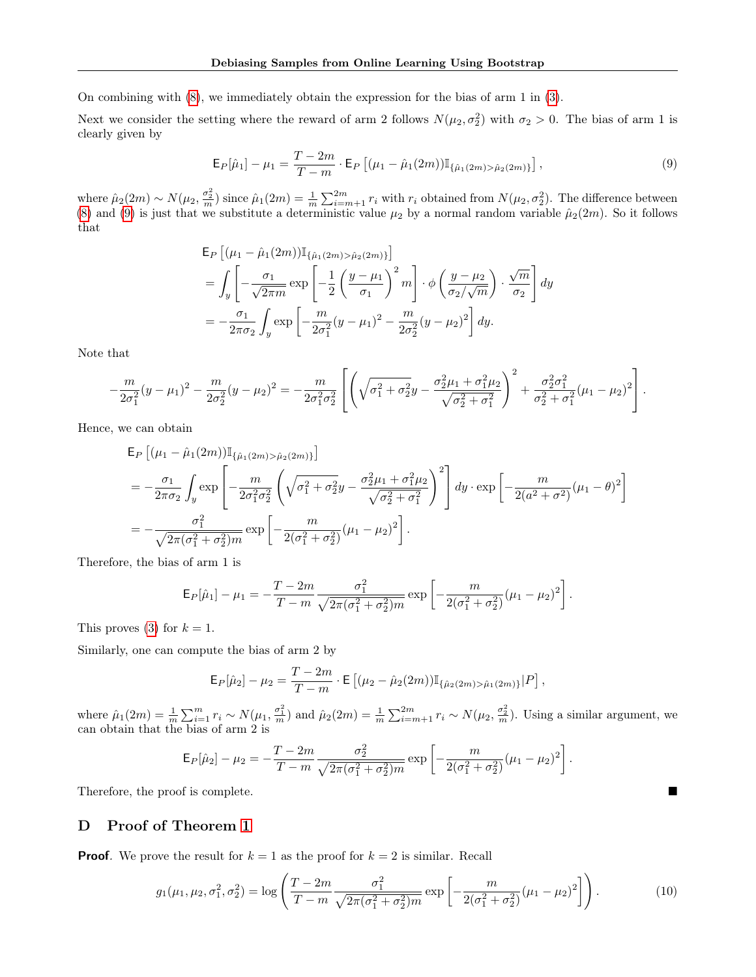On combining with [\(8\)](#page-12-1), we immediately obtain the expression for the bias of arm 1 in [\(3\)](#page-6-5).

Next we consider the setting where the reward of arm 2 follows  $N(\mu_2, \sigma_2^2)$  with  $\sigma_2 > 0$ . The bias of arm 1 is clearly given by

<span id="page-13-1"></span>
$$
\mathsf{E}_{P}[\hat{\mu}_1] - \mu_1 = \frac{T - 2m}{T - m} \cdot \mathsf{E}_{P} \left[ (\mu_1 - \hat{\mu}_1(2m)) \mathbb{I}_{\{\hat{\mu}_1(2m) > \hat{\mu}_2(2m)\}} \right],\tag{9}
$$

where  $\hat{\mu}_2(2m) \sim N(\mu_2, \frac{\sigma_2^2}{m})$  since  $\hat{\mu}_1(2m) = \frac{1}{m} \sum_{i=m+1}^{2m} r_i$  with  $r_i$  obtained from  $N(\mu_2, \sigma_2^2)$ . The difference between [\(8\)](#page-12-1) and [\(9\)](#page-13-1) is just that we substitute a deterministic value  $\mu_2$  by a normal random variable  $\hat{\mu}_2(2m)$ . So it follows that

$$
\mathsf{E}_{P}\left[ (\mu_{1} - \hat{\mu}_{1}(2m)) \mathbb{I}_{\{\hat{\mu}_{1}(2m) > \hat{\mu}_{2}(2m)\}} \right]
$$
\n
$$
= \int_{y} \left[ -\frac{\sigma_{1}}{\sqrt{2\pi m}} \exp\left[ -\frac{1}{2} \left( \frac{y - \mu_{1}}{\sigma_{1}} \right)^{2} m \right] \cdot \phi \left( \frac{y - \mu_{2}}{\sigma_{2}/\sqrt{m}} \right) \cdot \frac{\sqrt{m}}{\sigma_{2}} \right] dy
$$
\n
$$
= -\frac{\sigma_{1}}{2\pi\sigma_{2}} \int_{y} \exp\left[ -\frac{m}{2\sigma_{1}^{2}} (y - \mu_{1})^{2} - \frac{m}{2\sigma_{2}^{2}} (y - \mu_{2})^{2} \right] dy.
$$

Note that

$$
-\frac{m}{2\sigma_1^2}(y-\mu_1)^2-\frac{m}{2\sigma_2^2}(y-\mu_2)^2=-\frac{m}{2\sigma_1^2\sigma_2^2}\left[\left(\sqrt{\sigma_1^2+\sigma_2^2}y-\frac{\sigma_2^2\mu_1+\sigma_1^2\mu_2}{\sqrt{\sigma_2^2+\sigma_1^2}}\right)^2+\frac{\sigma_2^2\sigma_1^2}{\sigma_2^2+\sigma_1^2}(\mu_1-\mu_2)^2\right].
$$

Hence, we can obtain

$$
\mathsf{E}_{P}\left[(\mu_{1}-\hat{\mu}_{1}(2m))\mathbb{I}_{\{\hat{\mu}_{1}(2m)>\hat{\mu}_{2}(2m)\}}\right]
$$
\n
$$
=-\frac{\sigma_{1}}{2\pi\sigma_{2}}\int_{y}\exp\left[-\frac{m}{2\sigma_{1}^{2}\sigma_{2}^{2}}\left(\sqrt{\sigma_{1}^{2}+\sigma_{2}^{2}}y-\frac{\sigma_{2}^{2}\mu_{1}+\sigma_{1}^{2}\mu_{2}}{\sqrt{\sigma_{2}^{2}+\sigma_{1}^{2}}}\right)^{2}\right]dy\cdot\exp\left[-\frac{m}{2(a^{2}+\sigma^{2})}(\mu_{1}-\theta)^{2}\right]
$$
\n
$$
=-\frac{\sigma_{1}^{2}}{\sqrt{2\pi(\sigma_{1}^{2}+\sigma_{2}^{2})m}}\exp\left[-\frac{m}{2(\sigma_{1}^{2}+\sigma_{2}^{2})}(\mu_{1}-\mu_{2})^{2}\right].
$$

Therefore, the bias of arm 1 is

$$
\mathsf{E}_{P}[\hat{\mu}_1] - \mu_1 = -\frac{T - 2m}{T - m} \frac{\sigma_1^2}{\sqrt{2\pi(\sigma_1^2 + \sigma_2^2)m}} \exp\left[-\frac{m}{2(\sigma_1^2 + \sigma_2^2)}(\mu_1 - \mu_2)^2\right].
$$

This proves [\(3\)](#page-6-5) for  $k = 1$ .

Similarly, one can compute the bias of arm 2 by

<span id="page-13-2"></span>
$$
\mathsf{E}_{P}[\hat{\mu}_2] - \mu_2 = \frac{T - 2m}{T - m} \cdot \mathsf{E}\left[ (\mu_2 - \hat{\mu}_2(2m)) \mathbb{I}_{\{\hat{\mu}_2(2m) > \hat{\mu}_1(2m)\}} | P \right],
$$

where  $\hat{\mu}_1(2m) = \frac{1}{m} \sum_{i=1}^m r_i \sim N(\mu_1, \frac{\sigma_1^2}{m})$  and  $\hat{\mu}_2(2m) = \frac{1}{m} \sum_{i=m+1}^{2m} r_i \sim N(\mu_2, \frac{\sigma_2^2}{m})$ . Using a similar argument, we can obtain that the bias of arm 2 is

$$
\mathsf{E}_{P}[\hat{\mu}_2] - \mu_2 = -\frac{T - 2m}{T - m} \frac{\sigma_2^2}{\sqrt{2\pi(\sigma_1^2 + \sigma_2^2)m}} \exp\left[-\frac{m}{2(\sigma_1^2 + \sigma_2^2)}(\mu_1 - \mu_2)^2\right].
$$

Therefore, the proof is complete.

# <span id="page-13-0"></span>D Proof of Theorem [1](#page-7-1)

**Proof.** We prove the result for  $k = 1$  as the proof for  $k = 2$  is similar. Recall

$$
g_1(\mu_1, \mu_2, \sigma_1^2, \sigma_2^2) = \log \left( \frac{T - 2m}{T - m} \frac{\sigma_1^2}{\sqrt{2\pi(\sigma_1^2 + \sigma_2^2)m}} \exp \left[ -\frac{m}{2(\sigma_1^2 + \sigma_2^2)} (\mu_1 - \mu_2)^2 \right] \right). \tag{10}
$$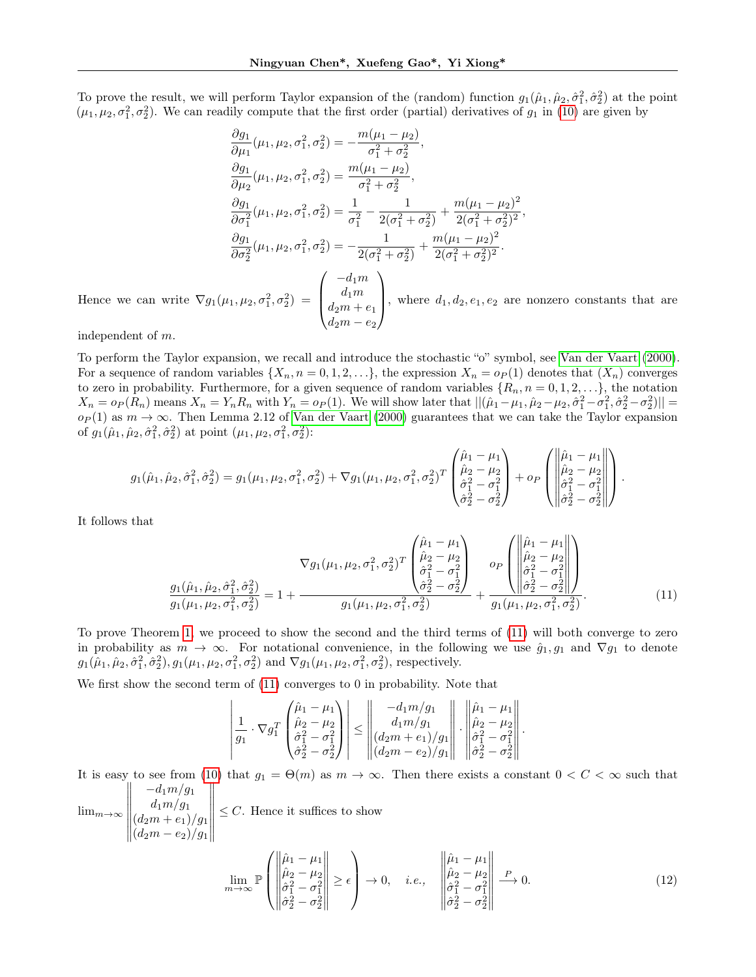To prove the result, we will perform Taylor expansion of the (random) function  $g_1(\hat{\mu}_1, \hat{\mu}_2, \hat{\sigma}_1^2, \hat{\sigma}_2^2)$  at the point  $(\mu_1, \mu_2, \sigma_1^2, \sigma_2^2)$ . We can readily compute that the first order (partial) derivatives of  $g_1$  in [\(10\)](#page-13-2) are given by

$$
\frac{\partial g_1}{\partial \mu_1}(\mu_1, \mu_2, \sigma_1^2, \sigma_2^2) = -\frac{m(\mu_1 - \mu_2)}{\sigma_1^2 + \sigma_2^2},
$$
\n
$$
\frac{\partial g_1}{\partial \mu_2}(\mu_1, \mu_2, \sigma_1^2, \sigma_2^2) = \frac{m(\mu_1 - \mu_2)}{\sigma_1^2 + \sigma_2^2},
$$
\n
$$
\frac{\partial g_1}{\partial \sigma_1^2}(\mu_1, \mu_2, \sigma_1^2, \sigma_2^2) = \frac{1}{\sigma_1^2} - \frac{1}{2(\sigma_1^2 + \sigma_2^2)} + \frac{m(\mu_1 - \mu_2)^2}{2(\sigma_1^2 + \sigma_2^2)^2},
$$
\n
$$
\frac{\partial g_1}{\partial \sigma_2^2}(\mu_1, \mu_2, \sigma_1^2, \sigma_2^2) = -\frac{1}{2(\sigma_1^2 + \sigma_2^2)} + \frac{m(\mu_1 - \mu_2)^2}{2(\sigma_1^2 + \sigma_2^2)^2}.
$$
\nHence we can write  $\nabla g_1(\mu_1, \mu_2, \sigma_1^2, \sigma_2^2) = \begin{pmatrix} -d_1 m \\ d_1 m \\ d_2 m + e_1 \\ d_2 m - e_2 \end{pmatrix}$ , where  $d_1, d_2, e_1, e_2$  are nonzero constants that are

independent of m.

To perform the Taylor expansion, we recall and introduce the stochastic "o" symbol, see [Van der Vaart](#page-10-21) [\(2000\)](#page-10-21). For a sequence of random variables  $\{X_n, n = 0, 1, 2, \ldots\}$ , the expression  $X_n = o_P(1)$  denotes that  $(X_n)$  converges to zero in probability. Furthermore, for a given sequence of random variables  $\{R_n, n = 0, 1, 2, \ldots\}$ , the notation  $X_n = o_P(R_n)$  means  $X_n = Y_n R_n$  with  $Y_n = o_P(1)$ . We will show later that  $||(\hat{\mu}_1 - \mu_1, \hat{\mu}_2 - \mu_2, \hat{\sigma}_1^2 - \sigma_1^2, \hat{\sigma}_2^2 - \sigma_2^2)||$  $o_P(1)$  as  $m \to \infty$ . Then Lemma 2.12 of [Van der Vaart](#page-10-21) [\(2000\)](#page-10-21) guarantees that we can take the Taylor expansion of  $g_1(\hat{\mu}_1, \hat{\mu}_2, \hat{\sigma}_1^2, \hat{\sigma}_2^2)$  at point  $(\mu_1, \mu_2, \sigma_1^2, \sigma_2^2)$ :

$$
g_1(\hat{\mu}_1, \hat{\mu}_2, \hat{\sigma}_1^2, \hat{\sigma}_2^2) = g_1(\mu_1, \mu_2, \sigma_1^2, \sigma_2^2) + \nabla g_1(\mu_1, \mu_2, \sigma_1^2, \sigma_2^2)^T \begin{pmatrix} \hat{\mu}_1 - \mu_1 \\ \hat{\mu}_2 - \mu_2 \\ \hat{\sigma}_1^2 - \sigma_1^2 \\ \hat{\sigma}_2^2 - \sigma_2^2 \end{pmatrix} + o_P \begin{pmatrix} \|\hat{\mu}_1 - \mu_1\| \\ \hat{\mu}_2 - \mu_2 \\ \hat{\sigma}_1^2 - \sigma_1^2 \\ \hat{\sigma}_2^2 - \sigma_2^2 \end{pmatrix}.
$$

It follows that

$$
\nabla g_1(\mu_1, \mu_2, \sigma_1^2, \sigma_2^2)^T \begin{pmatrix} \hat{\mu}_1 - \mu_1 \\ \hat{\mu}_2 - \mu_2 \\ \hat{\sigma}_1^2 - \sigma_1^2 \\ \hat{\sigma}_2^2 - \sigma_2^2 \end{pmatrix} + \frac{g_1(\hat{\mu}_1, \hat{\mu}_2, \hat{\sigma}_1^2, \hat{\sigma}_2^2)}{g_1(\mu_1, \mu_2, \sigma_1^2, \sigma_2^2)} = 1 + \frac{g_1(\hat{\mu}_1, \hat{\mu}_2, \hat{\sigma}_1^2, \sigma_2^2)}{g_1(\mu_1, \mu_2, \sigma_1^2, \sigma_2^2)} + \frac{g_1(\mu_1, \mu_2, \sigma_1^2, \sigma_2^2)}{g_1(\mu_1, \mu_2, \sigma_1^2, \sigma_2^2)}.
$$
\n(11)

To prove Theorem [1,](#page-7-1) we proceed to show the second and the third terms of [\(11\)](#page-14-0) will both converge to zero in probability as  $m \to \infty$ . For notational convenience, in the following we use  $\hat{g}_1, g_1$  and  $\nabla g_1$  to denote  $g_1(\hat{\mu}_1, \hat{\mu}_2, \hat{\sigma}_1^2, \hat{\sigma}_2^2), g_1(\mu_1, \mu_2, \sigma_1^2, \sigma_2^2)$  and  $\nabla g_1(\mu_1, \mu_2, \sigma_1^2, \sigma_2^2)$ , respectively.

We first show the second term of [\(11\)](#page-14-0) converges to 0 in probability. Note that

<span id="page-14-0"></span>
$$
\left|\frac{1}{g_1} \cdot \nabla g_1^T \begin{pmatrix} \hat{\mu}_1 - \mu_1 \\ \hat{\mu}_2 - \mu_2 \\ \hat{\sigma}_1^2 - \sigma_1^2 \\ \hat{\sigma}_2^2 - \sigma_2^2 \end{pmatrix}\right| \le \left\|\frac{-d_1 m/g_1}{d_1 m/g_1}\right\| \cdot \left\|\frac{\hat{\mu}_1 - \mu_1}{\hat{\mu}_2 - \mu_2}\right\| \cdot \left\|\frac{\hat{\mu}_2 - \mu_2}{\hat{\sigma}_1^2 - \sigma_1^2}\right\|.
$$

It is easy to see from [\(10\)](#page-13-2) that  $g_1 = \Theta(m)$  as  $m \to \infty$ . Then there exists a constant  $0 < C < \infty$  such that  $-d_1 m/g_1$ 

 $\lim_{m\to\infty}$   $d_1m/g_1$  $(d_2m+e_1)/g_1$  $(d_2m-e_2)/g_1$   $\leq C$ . Hence it suffices to show

<span id="page-14-1"></span>
$$
\lim_{m \to \infty} \mathbb{P}\left(\begin{vmatrix} \hat{\mu}_1 - \mu_1 \\ \hat{\mu}_2 - \mu_2 \\ \hat{\sigma}_1^2 - \sigma_1^2 \\ \hat{\sigma}_2^2 - \sigma_2^2 \end{vmatrix} \ge \epsilon\right) \to 0, \quad i.e., \quad \begin{vmatrix} \hat{\mu}_1 - \mu_1 \\ \hat{\mu}_2 - \mu_2 \\ \hat{\sigma}_1^2 - \sigma_1^2 \\ \hat{\sigma}_2^2 - \sigma_2^2 \end{vmatrix} \to 0.
$$
\n(12)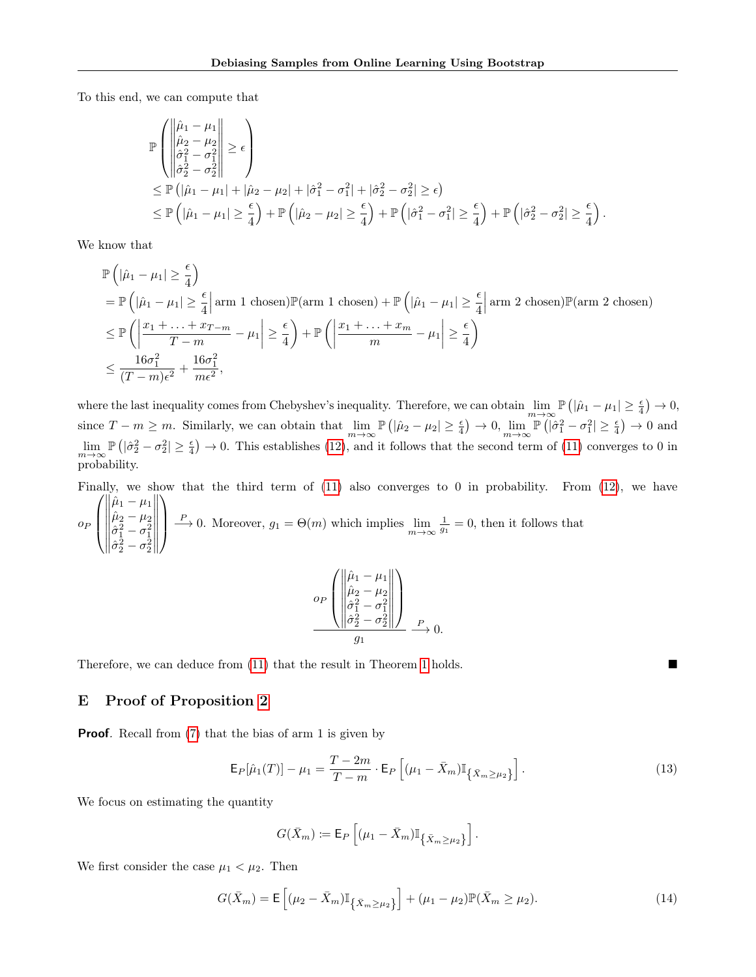To this end, we can compute that

$$
\mathbb{P}\left(\left\|\begin{matrix} \hat{\mu}_1 - \mu_1 \\ \hat{\mu}_2 - \mu_2 \\ \hat{\sigma}_1^2 - \sigma_1^2 \\ \hat{\sigma}_2^2 - \sigma_2^2 \end{matrix}\right\| \geq \epsilon\right) \n\leq \mathbb{P}\left(|\hat{\mu}_1 - \mu_1| + |\hat{\mu}_2 - \mu_2| + |\hat{\sigma}_1^2 - \sigma_1^2| + |\hat{\sigma}_2^2 - \sigma_2^2| \geq \epsilon\right) \n\leq \mathbb{P}\left(|\hat{\mu}_1 - \mu_1| \geq \frac{\epsilon}{4}\right) + \mathbb{P}\left(|\hat{\mu}_2 - \mu_2| \geq \frac{\epsilon}{4}\right) + \mathbb{P}\left(|\hat{\sigma}_1^2 - \sigma_1^2| \geq \frac{\epsilon}{4}\right) + \mathbb{P}\left(|\hat{\sigma}_2^2 - \sigma_2^2| \geq \frac{\epsilon}{4}\right).
$$

We know that

$$
\mathbb{P}\left(|\hat{\mu}_1 - \mu_1| \geq \frac{\epsilon}{4}\right)
$$
\n
$$
= \mathbb{P}\left(|\hat{\mu}_1 - \mu_1| \geq \frac{\epsilon}{4}\Big| \operatorname{arm} 1 \text{ chosen}\right) \mathbb{P}(\operatorname{arm} 1 \text{ chosen}) + \mathbb{P}\left(|\hat{\mu}_1 - \mu_1| \geq \frac{\epsilon}{4}\Big| \operatorname{arm} 2 \text{ chosen}\right) \mathbb{P}(\operatorname{arm} 2 \text{ chosen})
$$
\n
$$
\leq \mathbb{P}\left(\left|\frac{x_1 + \ldots + x_{T-m}}{T-m} - \mu_1\right| \geq \frac{\epsilon}{4}\right) + \mathbb{P}\left(\left|\frac{x_1 + \ldots + x_m}{m} - \mu_1\right| \geq \frac{\epsilon}{4}\right)
$$
\n
$$
\leq \frac{16\sigma_1^2}{(T-m)\epsilon^2} + \frac{16\sigma_1^2}{m\epsilon^2},
$$

where the last inequality comes from Chebyshev's inequality. Therefore, we can obtain  $\lim_{m\to\infty} \mathbb{P}(|\hat{\mu}_1 - \mu_1| \ge \frac{\epsilon}{4}) \to 0$ , since  $T - m \ge m$ . Similarly, we can obtain that  $\lim_{m \to \infty} \mathbb{P}(|\hat{\mu}_2 - \mu_2| \ge \frac{\epsilon}{4}) \to 0$ ,  $\lim_{m \to \infty} \mathbb{P}(|\hat{\sigma}_1^2 - \sigma_1^2| \ge \frac{\epsilon}{4}) \to 0$  and  $\lim_{m\to\infty} \mathbb{P}\left( |\hat{\sigma}_2^2 - \sigma_2^2| \ge \frac{\epsilon}{4} \right) \to 0$ . This establishes [\(12\)](#page-14-1), and it follows that the second term of [\(11\)](#page-14-0) converges to 0 in probability.

Finally, we show that the third term of  $(11)$  also converges to 0 in probability. From  $(12)$ , we have  $\sqrt{ }$  $\hat{\mu}_1-\mu_1$  $\setminus$ 

 $\rho_P$  $\vert$   $\hat{\mu}_2-\mu_2$  $\hat{\sigma}_{1}^{2} - \sigma_{1}^{2}$ <br>  $\hat{\sigma}_{2}^{2} - \sigma_{2}^{2}$   $\frac{P}{m} \to 0$ . Moreover,  $g_1 = \Theta(m)$  which implies  $\lim_{m \to \infty} \frac{1}{g_1} = 0$ , then it follows that

$$
o_P\left(\begin{vmatrix} \hat{\mu}_1 - \mu_1 \\ \hat{\mu}_2 - \mu_2 \\ \hat{\sigma}_1^2 - \sigma_1^2 \\ \hat{\sigma}_2^2 - \sigma_2^2 \end{vmatrix}\right)_{P} 0.
$$

Therefore, we can deduce from [\(11\)](#page-14-0) that the result in Theorem [1](#page-7-1) holds.

## <span id="page-15-0"></span>E Proof of Proposition [2](#page-7-2)

**Proof.** Recall from [\(7\)](#page-12-2) that the bias of arm 1 is given by

$$
\mathsf{E}_{P}[\hat{\mu}_{1}(T)] - \mu_{1} = \frac{T - 2m}{T - m} \cdot \mathsf{E}_{P} \left[ (\mu_{1} - \bar{X}_{m}) \mathbb{I}_{\{\bar{X}_{m} \ge \mu_{2}\}} \right]. \tag{13}
$$

We focus on estimating the quantity

<span id="page-15-2"></span><span id="page-15-1"></span>
$$
G(\bar{X}_m) \coloneqq \mathsf{E}_P \left[ (\mu_1 - \bar{X}_m) \mathbb{I}_{\{\bar{X}_m \geq \mu_2\}} \right].
$$

We first consider the case  $\mu_1 < \mu_2$ . Then

$$
G(\bar{X}_m) = \mathsf{E}\left[ (\mu_2 - \bar{X}_m) \mathbb{I}_{\{\bar{X}_m \ge \mu_2\}} \right] + (\mu_1 - \mu_2) \mathbb{P}(\bar{X}_m \ge \mu_2). \tag{14}
$$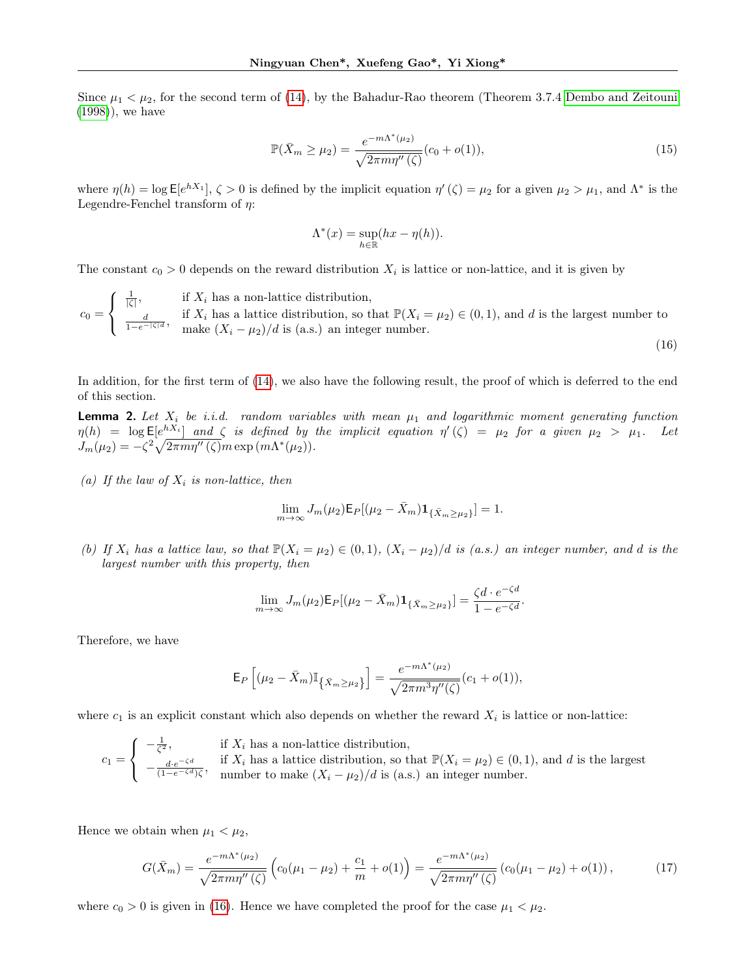Since  $\mu_1 < \mu_2$ , for the second term of [\(14\)](#page-15-1), by the Bahadur-Rao theorem (Theorem 3.7.4 [Dembo and Zeitouni](#page-9-27) [\(1998\)](#page-9-27)), we have

$$
\mathbb{P}(\bar{X}_m \ge \mu_2) = \frac{e^{-m\Lambda^*(\mu_2)}}{\sqrt{2\pi m\eta''(\zeta)}}(c_0 + o(1)),\tag{15}
$$

where  $\eta(h) = \log \mathsf{E}[e^{hX_1}], \zeta > 0$  is defined by the implicit equation  $\eta'(\zeta) = \mu_2$  for a given  $\mu_2 > \mu_1$ , and  $\Lambda^*$  is the Legendre-Fenchel transform of  $\eta$ :

<span id="page-16-3"></span><span id="page-16-0"></span>
$$
\Lambda^*(x) = \sup_{h \in \mathbb{R}} (hx - \eta(h)).
$$

The constant  $c_0 > 0$  depends on the reward distribution  $X_i$  is lattice or non-lattice, and it is given by

 $c_0 =$  $\sqrt{ }$ J  $\mathcal{L}$  $\frac{1}{|\zeta|}$ , if  $X_i$  has a non-lattice distribution,  $\frac{d}{1-e^{-|\zeta|d}}$ , if  $X_i$  has a lattice distribution, so that  $\mathbb{P}(X_i = \mu_2) \in (0,1)$ , and d is the largest number to  $\frac{1}{1-e^{-|\zeta|d}}$ , make  $(X_i - \mu_2)/d$  is (a s) an integer number make  $(X_i - \mu_2)/d$  is (a.s.) an integer number. (16)

In addition, for the first term of  $(14)$ , we also have the following result, the proof of which is deferred to the end of this section.

<span id="page-16-1"></span>**Lemma 2.** Let  $X_i$  be i.i.d. random variables with mean  $\mu_1$  and logarithmic moment generating function  $\eta(h) = \log \mathsf{E}[e^{hX_i}]$  and  $\zeta$  is defined by the implicit equation  $\eta'(\zeta) = \mu_2$  for a given  $\mu_2 > \mu_1$ . Let  $J_m(\mu_2) = -\zeta^2 \sqrt{2\pi m \eta''(\zeta)} m \exp{(m \Lambda^*(\mu_2))}.$ 

(a) If the law of  $X_i$  is non-lattice, then

$$
\lim_{m \to \infty} J_m(\mu_2) \mathsf{E}_P[(\mu_2 - \bar{X}_m) \mathbf{1}_{\{\bar{X}_m \ge \mu_2\}}] = 1.
$$

(b) If  $X_i$  has a lattice law, so that  $\mathbb{P}(X_i = \mu_2) \in (0,1)$ ,  $(X_i - \mu_2)/d$  is (a.s.) an integer number, and d is the largest number with this property, then

$$
\lim_{m \to \infty} J_m(\mu_2) \mathsf{E}_P[(\mu_2 - \bar{X}_m) \mathbf{1}_{\{\bar{X}_m \ge \mu_2\}}] = \frac{\zeta d \cdot e^{-\zeta d}}{1 - e^{-\zeta d}}.
$$

Therefore, we have

<span id="page-16-2"></span>
$$
\mathsf{E}_{P}\left[ (\mu_2 - \bar{X}_m)\mathbb{I}_{\left\{ \bar{X}_m \geq \mu_2 \right\}} \right] = \frac{e^{-m\Lambda^*(\mu_2)}}{\sqrt{2\pi m^3 \eta''(\zeta)}}(c_1 + o(1)),
$$

where  $c_1$  is an explicit constant which also depends on whether the reward  $X_i$  is lattice or non-lattice:

$$
c_1 = \begin{cases} -\frac{1}{\zeta^2}, & \text{if } X_i \text{ has a non-lattice distribution,} \\ -\frac{d \cdot e^{-\zeta d}}{(1 - e^{-\zeta d})\zeta}, & \text{if } X_i \text{ has a lattice distribution, so that } \mathbb{P}(X_i = \mu_2) \in (0, 1), \text{ and } d \text{ is the largest number,} \\ \text{number to make } (X_i - \mu_2)/d \text{ is (a.s.) an integer number.} \end{cases}
$$

Hence we obtain when  $\mu_1 < \mu_2$ ,

$$
G(\bar{X}_m) = \frac{e^{-m\Lambda^*(\mu_2)}}{\sqrt{2\pi m\eta''(\zeta)}} \left( c_0(\mu_1 - \mu_2) + \frac{c_1}{m} + o(1) \right) = \frac{e^{-m\Lambda^*(\mu_2)}}{\sqrt{2\pi m\eta''(\zeta)}} \left( c_0(\mu_1 - \mu_2) + o(1) \right),\tag{17}
$$

where  $c_0 > 0$  is given in [\(16\)](#page-16-0). Hence we have completed the proof for the case  $\mu_1 < \mu_2$ .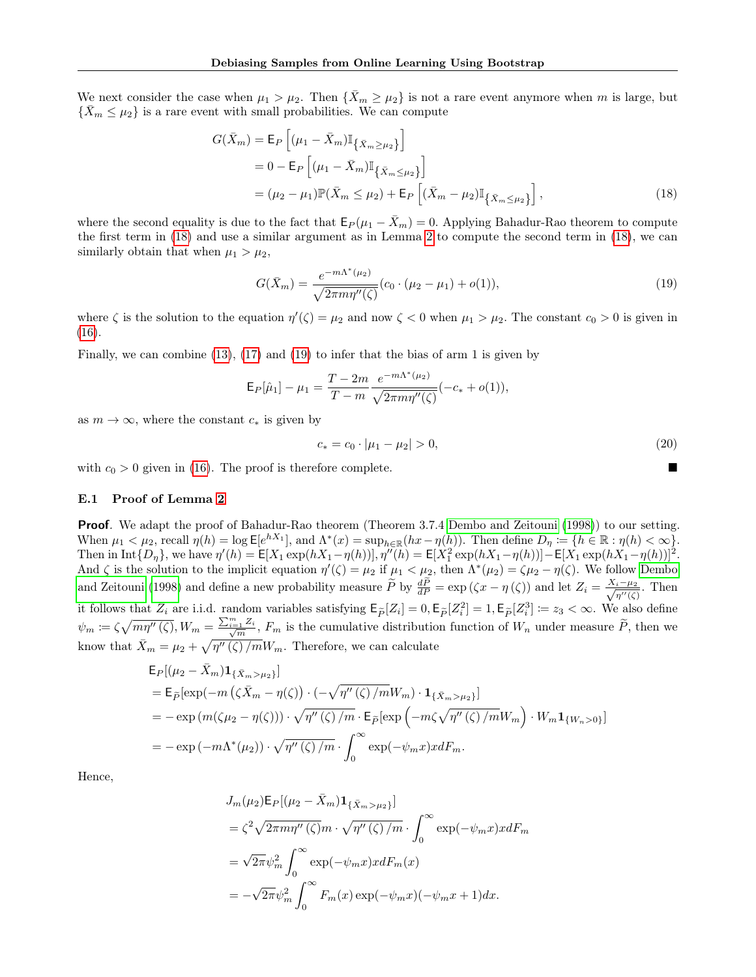We next consider the case when  $\mu_1 > \mu_2$ . Then  $\{\bar{X}_m \geq \mu_2\}$  is not a rare event anymore when m is large, but  $\{\bar{X}_m \leq \mu_2\}$  is a rare event with small probabilities. We can compute

$$
G(\bar{X}_m) = \mathsf{E}_P \left[ (\mu_1 - \bar{X}_m) \mathbb{I}_{\{\bar{X}_m \ge \mu_2\}} \right]
$$
  
= 0 - \mathsf{E}\_P \left[ (\mu\_1 - \bar{X}\_m) \mathbb{I}\_{\{\bar{X}\_m \le \mu\_2\}} \right]  
= (\mu\_2 - \mu\_1) \mathbb{P}(\bar{X}\_m \le \mu\_2) + \mathsf{E}\_P \left[ (\bar{X}\_m - \mu\_2) \mathbb{I}\_{\{\bar{X}\_m \le \mu\_2\}} \right], (18)

where the second equality is due to the fact that  $E_P(\mu_1 - \bar{X}_m) = 0$ . Applying Bahadur-Rao theorem to compute the first term in [\(18\)](#page-17-1) and use a similar argument as in Lemma [2](#page-16-1) to compute the second term in [\(18\)](#page-17-1), we can similarly obtain that when  $\mu_1 > \mu_2$ ,

<span id="page-17-1"></span>
$$
G(\bar{X}_m) = \frac{e^{-m\Lambda^*(\mu_2)}}{\sqrt{2\pi m\eta''(\zeta)}} (c_0 \cdot (\mu_2 - \mu_1) + o(1)),
$$
\n(19)

where  $\zeta$  is the solution to the equation  $\eta'(\zeta) = \mu_2$  and now  $\zeta < 0$  when  $\mu_1 > \mu_2$ . The constant  $c_0 > 0$  is given in [\(16\)](#page-16-0).

Finally, we can combine [\(13\)](#page-15-2), [\(17\)](#page-16-2) and [\(19\)](#page-17-2) to infer that the bias of arm 1 is given by

$$
\mathsf{E}_{P}[\hat{\mu}_1] - \mu_1 = \frac{T - 2m}{T - m} \frac{e^{-m\Lambda^*(\mu_2)}}{\sqrt{2\pi m \eta''(\zeta)}} (-c_* + o(1)),
$$

as  $m \to \infty$ , where the constant  $c_*$  is given by

<span id="page-17-2"></span><span id="page-17-0"></span>
$$
c_* = c_0 \cdot |\mu_1 - \mu_2| > 0,\tag{20}
$$

with  $c_0 > 0$  given in [\(16\)](#page-16-0). The proof is therefore complete.

#### E.1 Proof of Lemma [2](#page-16-1)

**Proof.** We adapt the proof of Bahadur-Rao theorem (Theorem 3.7.4 [Dembo and Zeitouni](#page-9-27) [\(1998\)](#page-9-27)) to our setting. When  $\mu_1 < \mu_2$ , recall  $\eta(h) = \log \mathsf{E}[e^{hX_1}]$ , and  $\Lambda^*(x) = \sup_{h \in \mathbb{R}} (hx - \eta(h))$ . Then define  $D_\eta := \{h \in \mathbb{R} : \eta(h) < \infty\}$ . Then in  $\text{Int}{D_{\eta}}$ , we have  $\eta'(h) = \text{E}[X_1 \exp(hX_1 - \eta(h))]$ ,  $\eta''(h) = \text{E}[X_1^2 \exp(hX_1 - \eta(h))] - \text{E}[X_1 \exp(hX_1 - \eta(h))]^2$ . And  $\zeta$  is the solution to the implicit equation  $\eta'(\zeta) = \mu_2$  if  $\mu_1 < \mu_2$ , then  $\Lambda^*(\mu_2) = \zeta \mu_2 - \eta(\zeta)$ . We follow [Dembo](#page-9-27) [and Zeitouni](#page-9-27) [\(1998\)](#page-9-27) and define a new probability measure  $\tilde{P}$  by  $\frac{d\tilde{P}}{dP} = \exp(\zeta x - \eta(\zeta))$  and let  $Z_i = \frac{X_i - \mu_2}{\sqrt{\eta''(\zeta)}}$  $\frac{i-\mu_2}{\eta''(\zeta)}$ . Then it follows that  $Z_i$  are i.i.d. random variables satisfying  $\mathsf{E}_{\tilde{P}}[Z_i] = 0$ ,  $\mathsf{E}_{\tilde{P}}[Z_i^2] = 1$ ,  $\mathsf{E}_{\tilde{P}}[Z_i^3] := z_3 < \infty$ . We also define  $\psi_m \coloneqq \zeta \sqrt{m\eta''(\zeta)}, W_m = \frac{\sum_{i=1}^m Z_i}{\sqrt{m}}, F_m$  is the cumulative distribution function of  $W_n$  under measure  $\widetilde{P}$ , then we know that  $\bar{X}_m = \mu_2 + \sqrt{\eta''(\zeta)/m}W_m$ . Therefore, we can calculate

$$
\mathsf{E}_{P}[(\mu_{2} - \bar{X}_{m})\mathbf{1}_{\{\bar{X}_{m} > \mu_{2}\}}]
$$
\n
$$
= \mathsf{E}_{\tilde{P}}[\exp(-m(\zeta\bar{X}_{m} - \eta(\zeta))\cdot(-\sqrt{\eta''(\zeta)/m}W_{m})\cdot\mathbf{1}_{\{\bar{X}_{m} > \mu_{2}\}}]
$$
\n
$$
= -\exp(m(\zeta\mu_{2} - \eta(\zeta)))\cdot\sqrt{\eta''(\zeta)/m}\cdot\mathsf{E}_{\tilde{P}}[\exp(-m\zeta\sqrt{\eta''(\zeta)/m}W_{m})\cdot W_{m}\mathbf{1}_{\{W_{n}>0\}}]
$$
\n
$$
= -\exp(-m\Lambda^{*}(\mu_{2}))\cdot\sqrt{\eta''(\zeta)/m}\cdot\int_{0}^{\infty}\exp(-\psi_{m}x)xdF_{m}.
$$

Hence,

$$
J_m(\mu_2) \mathsf{E}_P[(\mu_2 - \bar{X}_m) \mathbf{1}_{\{\bar{X}_m > \mu_2\}}]
$$
  
=  $\zeta^2 \sqrt{2\pi m \eta''(\zeta)} m \cdot \sqrt{\eta''(\zeta) / m} \cdot \int_0^\infty \exp(-\psi_m x) x dF_m$   
=  $\sqrt{2\pi} \psi_m^2 \int_0^\infty \exp(-\psi_m x) x dF_m(x)$   
=  $-\sqrt{2\pi} \psi_m^2 \int_0^\infty F_m(x) \exp(-\psi_m x) (-\psi_m x + 1) dx.$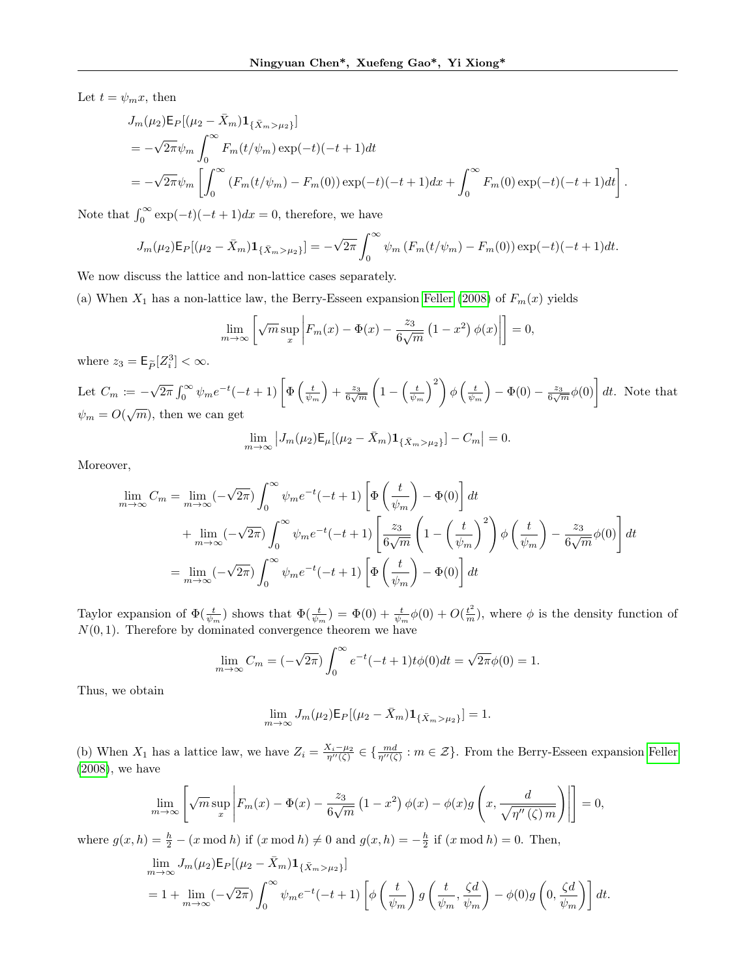Let  $t = \psi_m x$ , then

$$
J_m(\mu_2) \mathsf{E}_P[(\mu_2 - \bar{X}_m) \mathbf{1}_{\{\bar{X}_m > \mu_2\}}]
$$
  
=  $-\sqrt{2\pi} \psi_m \int_0^\infty F_m(t/\psi_m) \exp(-t)(-t+1) dt$   
=  $-\sqrt{2\pi} \psi_m \left[ \int_0^\infty (F_m(t/\psi_m) - F_m(0)) \exp(-t)(-t+1) dx + \int_0^\infty F_m(0) \exp(-t)(-t+1) dt \right].$ 

Note that  $\int_0^\infty \exp(-t)(-t+1)dx = 0$ , therefore, we have

$$
J_m(\mu_2) \mathsf{E}_P[(\mu_2 - \bar{X}_m) \mathbf{1}_{\{\bar{X}_m > \mu_2\}}] = -\sqrt{2\pi} \int_0^\infty \psi_m \left( F_m(t/\psi_m) - F_m(0) \right) \exp(-t) (-t+1) dt.
$$

We now discuss the lattice and non-lattice cases separately.

(a) When  $X_1$  has a non-lattice law, the Berry-Esseen expansion [Feller](#page-9-28) [\(2008\)](#page-9-28) of  $F_m(x)$  yields

$$
\lim_{m \to \infty} \left[ \sqrt{m} \sup_x \left| F_m(x) - \Phi(x) - \frac{z_3}{6\sqrt{m}} \left( 1 - x^2 \right) \phi(x) \right| \right] = 0,
$$

where  $z_3 = \mathsf{E}_{\widetilde{P}}[Z_i^3] < \infty$ .

Let  $C_m \coloneqq -$ √  $\overline{2\pi} \int_0^\infty \psi_m e^{-t}(-t+1) \left[ \Phi\left(\frac{t}{\psi_m}\right) + \frac{z_3}{6\sqrt{m}} \left(1 - \left(\frac{t}{\psi_m}\right)^2\right) \phi\left(\frac{t}{\psi_m}\right) - \Phi(0) - \frac{z_3}{6\sqrt{m}} \phi(0)\right] dt$ . Note that  $\psi_m = O(\sqrt{m})$ , then we can get √

$$
\lim_{m \to \infty} |J_m(\mu_2) \mathsf{E}_{\mu} [(\mu_2 - \bar{X}_m) \mathbf{1}_{\{\bar{X}_m > \mu_2\}}] - C_m| = 0.
$$

Moreover,

$$
\lim_{m \to \infty} C_m = \lim_{m \to \infty} (-\sqrt{2\pi}) \int_0^\infty \psi_m e^{-t} (-t+1) \left[ \Phi\left(\frac{t}{\psi_m}\right) - \Phi(0) \right] dt
$$
  
+ 
$$
\lim_{m \to \infty} (-\sqrt{2\pi}) \int_0^\infty \psi_m e^{-t} (-t+1) \left[ \frac{z_3}{6\sqrt{m}} \left( 1 - \left(\frac{t}{\psi_m}\right)^2 \right) \phi\left(\frac{t}{\psi_m}\right) - \frac{z_3}{6\sqrt{m}} \phi(0) \right] dt
$$
  
= 
$$
\lim_{m \to \infty} (-\sqrt{2\pi}) \int_0^\infty \psi_m e^{-t} (-t+1) \left[ \Phi\left(\frac{t}{\psi_m}\right) - \Phi(0) \right] dt
$$

Taylor expansion of  $\Phi(\frac{t}{\psi_m})$  shows that  $\Phi(\frac{t}{\psi_m}) = \Phi(0) + \frac{t}{\psi_m}\phi(0) + O(\frac{t^2}{m})$ , where  $\phi$  is the density function of  $N(0, 1)$ . Therefore by dominated convergence theorem we have

$$
\lim_{m \to \infty} C_m = (-\sqrt{2\pi}) \int_0^{\infty} e^{-t} (-t+1)t \phi(0) dt = \sqrt{2\pi} \phi(0) = 1.
$$

Thus, we obtain

$$
\lim_{m \to \infty} J_m(\mu_2) \mathsf{E}_P[(\mu_2 - \bar{X}_m) \mathbf{1}_{\{\bar{X}_m > \mu_2\}}] = 1.
$$

(b) When  $X_1$  has a lattice law, we have  $Z_i = \frac{X_i - \mu_2}{\eta''(\zeta)} \in \{\frac{md}{\eta''(\zeta)} : m \in \mathcal{Z}\}\.$  From the Berry-Esseen expansion [Feller](#page-9-28) [\(2008\)](#page-9-28), we have

$$
\lim_{m \to \infty} \left[ \sqrt{m} \sup_x \left| F_m(x) - \Phi(x) - \frac{z_3}{6\sqrt{m}} \left( 1 - x^2 \right) \phi(x) - \phi(x) g \left( x, \frac{d}{\sqrt{\eta''(\zeta)m}} \right) \right| \right] = 0,
$$

where  $g(x, h) = \frac{h}{2} - (x \mod h)$  if  $(x \mod h) \neq 0$  and  $g(x, h) = -\frac{h}{2}$  if  $(x \mod h) = 0$ . Then,

$$
\lim_{m \to \infty} J_m(\mu_2) \mathsf{E}_P[(\mu_2 - \bar{X}_m) \mathbf{1}_{\{\bar{X}_m > \mu_2\}}]
$$
\n
$$
= 1 + \lim_{m \to \infty} (-\sqrt{2\pi}) \int_0^\infty \psi_m e^{-t}(-t+1) \left[ \phi\left(\frac{t}{\psi_m}\right) g\left(\frac{t}{\psi_m}, \frac{\zeta d}{\psi_m}\right) - \phi(0) g\left(0, \frac{\zeta d}{\psi_m}\right) \right] dt.
$$